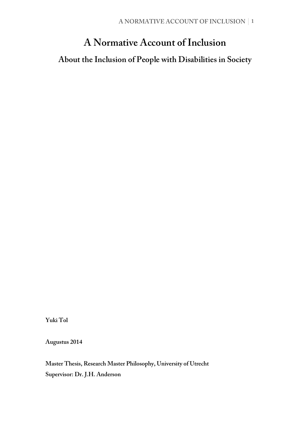## **A Normative Account of Inclusion**

**About the Inclusion of People with Disabilities in Society**

**Yuki Tol**

**Augustus 2014**

**Master Thesis, Research Master Philosophy, University of Utrecht Supervisor: Dr. J.H. Anderson**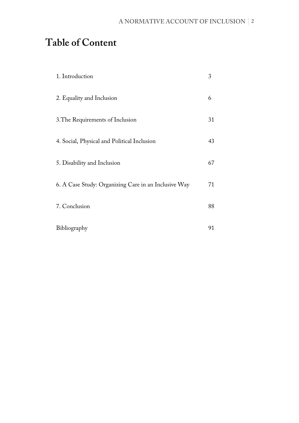# **Table of Content**

| 1. Introduction                                      | 3  |
|------------------------------------------------------|----|
| 2. Equality and Inclusion                            | 6  |
| 3. The Requirements of Inclusion                     | 31 |
| 4. Social, Physical and Political Inclusion          | 43 |
| 5. Disability and Inclusion                          | 67 |
| 6. A Case Study: Organizing Care in an Inclusive Way | 71 |
| 7. Conclusion                                        | 88 |
| Bibliography                                         | 91 |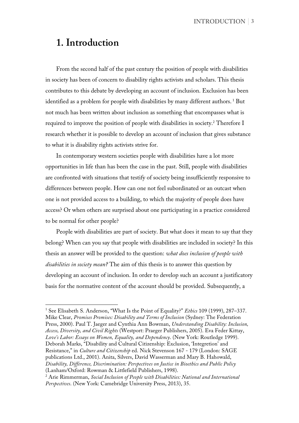### **1. Introduction**

 

From the second half of the past century the position of people with disabilities in society has been of concern to disability rights activists and scholars. This thesis contributes to this debate by developing an account of inclusion. Exclusion has been identified as a problem for people with disabilities by many different authors.<sup>1</sup> But not much has been written about inclusion as something that encompasses what is required to improve the position of people with disabilities in society.2 Therefore I research whether it is possible to develop an account of inclusion that gives substance to what it is disability rights activists strive for.

In contemporary western societies people with disabilities have a lot more opportunities in life than has been the case in the past. Still, people with disabilities are confronted with situations that testify of society being insufficiently responsive to differences between people. How can one not feel subordinated or an outcast when one is not provided access to a building, to which the majority of people does have access? Or when others are surprised about one participating in a practice considered to be normal for other people?

People with disabilities are part of society. But what does it mean to say that they belong? When can you say that people with disabilities are included in society? In this thesis an answer will be provided to the question: *what does inclusion of people with disabilities in society mean?* The aim of this thesis is to answer this question by developing an account of inclusion. In order to develop such an account a justificatory basis for the normative content of the account should be provided. Subsequently, a

<sup>1</sup> See Elisabeth S. Anderson, "What Is the Point of Equality?" *Ethics* 109 (1999), 287–337. Mike Clear, *Promises Promises: Disability and Terms of Inclusion* (Sydney: The Federation Press, 2000). Paul T. Jaeger and Cynthia Ann Bowman, *Understanding Disability: Inclusion, Access, Diversity, and Civil Rights* (Westport: Praeger Publishers, 2005). Eva Feder Kittay, *Love's Labor: Essays on Women, Equality, and Dependency*. (New York: Routledge 1999). Deborah Marks, "Disability and Cultural Citizenship: Exclusion, 'Integretion' and Resistance," in *Culture and Citizenship* ed. Nick Stevenson 167 - 179 (London: SAGE publications Ltd., 2001). Anita, Silvers, David Wasserman and Mary B. Hahowald, *Disability, Difference, Discrimination: Perspectives on Justice in Bioethics and Public Policy* (Lanham/Oxford: Rowman & Littlefield Publishers, 1998).

<sup>2</sup> Arie Rimmerman, *Social Inclusion of People with Disabilities: National and International Perspectives*. (New York: Camebridge University Press, 2013), 35.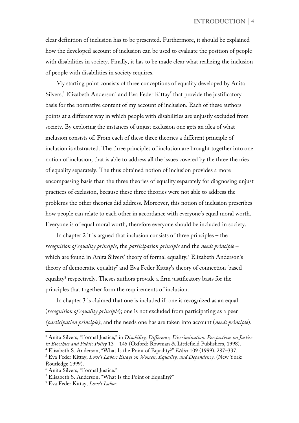clear definition of inclusion has to be presented. Furthermore, it should be explained how the developed account of inclusion can be used to evaluate the position of people with disabilities in society. Finally, it has to be made clear what realizing the inclusion of people with disabilities in society requires.

My starting point consists of three conceptions of equality developed by Anita Silvers,<sup>3</sup> Elizabeth Anderson<sup>4</sup> and Eva Feder Kittay<sup>5</sup> that provide the justificatory basis for the normative content of my account of inclusion. Each of these authors points at a different way in which people with disabilities are unjustly excluded from society. By exploring the instances of unjust exclusion one gets an idea of what inclusion consists of. From each of these three theories a different principle of inclusion is abstracted. The three principles of inclusion are brought together into one notion of inclusion, that is able to address all the issues covered by the three theories of equality separately. The thus obtained notion of inclusion provides a more encompassing basis than the three theories of equality separately for diagnosing unjust practices of exclusion, because these three theories were not able to address the problems the other theories did address. Moreover, this notion of inclusion prescribes how people can relate to each other in accordance with everyone's equal moral worth. Everyone is of equal moral worth, therefore everyone should be included in society.

In chapter 2 it is argued that inclusion consists of three principles – the *recognition of equality principle*, the *participation principle* and the *needs principle* – which are found in Anita Silvers' theory of formal equality,<sup>6</sup> Elizabeth Anderson's theory of democratic equality<sup>7</sup> and Eva Feder Kittay's theory of connection-based equality8 respectively. Theses authors provide a firm justificatory basis for the principles that together form the requirements of inclusion.

In chapter 3 is claimed that one is included if: one is recognized as an equal (*recognition of equality principle*); one is not excluded from participating as a peer *(participation principle)*; and the needs one has are taken into account (*needs principle*).

<sup>3</sup> Anita Silvers, "Formal Justice," in *Disability, Difference, Discrimination: Perspectives on Justice in Bioethics and Public Policy* 13 – 145 (Oxford: Rowman & Littlefield Publishers, 1998). <sup>4</sup> Elisabeth S. Anderson, "What Is the Point of Equality?" *Ethics* 109 (1999), 287–337.

<sup>5</sup> Eva Feder Kittay, *Love's Labor: Essays on Women, Equality, and Dependency*. (New York: Routledge 1999).

<sup>6</sup> Anita Silvers, "Formal Justice."

<sup>7</sup> Elisabeth S. Anderson, "What Is the Point of Equality?"

<sup>8</sup> Eva Feder Kittay, *Love's Labor*.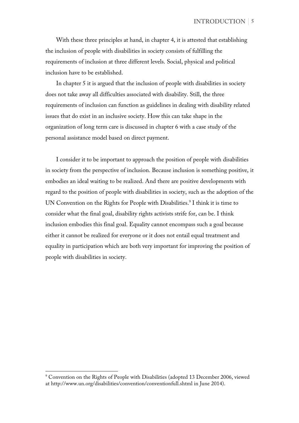With these three principles at hand, in chapter 4, it is attested that establishing the inclusion of people with disabilities in society consists of fulfilling the requirements of inclusion at three different levels. Social, physical and political inclusion have to be established.

In chapter 5 it is argued that the inclusion of people with disabilities in society does not take away all difficulties associated with disability. Still, the three requirements of inclusion can function as guidelines in dealing with disability related issues that do exist in an inclusive society. How this can take shape in the organization of long term care is discussed in chapter 6 with a case study of the personal assistance model based on direct payment.

I consider it to be important to approach the position of people with disabilities in society from the perspective of inclusion. Because inclusion is something positive, it embodies an ideal waiting to be realized. And there are positive developments with regard to the position of people with disabilities in society, such as the adoption of the UN Convention on the Rights for People with Disabilities. <sup>9</sup> I think it is time to consider what the final goal, disability rights activists strife for, can be. I think inclusion embodies this final goal. Equality cannot encompass such a goal because either it cannot be realized for everyone or it does not entail equal treatment and equality in participation which are both very important for improving the position of people with disabilities in society.

<sup>9</sup> Convention on the Rights of People with Disabilities (adopted 13 December 2006, viewed at http://www.un.org/disabilities/convention/conventionfull.shtml in June 2014).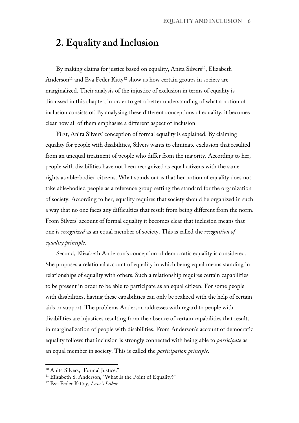### **2. Equality and Inclusion**

By making claims for justice based on equality, Anita Silvers<sup>10</sup>, Elizabeth Anderson<sup>11</sup> and Eva Feder Kitty<sup>12</sup> show us how certain groups in society are marginalized. Their analysis of the injustice of exclusion in terms of equality is discussed in this chapter, in order to get a better understanding of what a notion of inclusion consists of. By analysing these different conceptions of equality, it becomes clear how all of them emphasise a different aspect of inclusion.

First, Anita Silvers' conception of formal equality is explained. By claiming equality for people with disabilities, Silvers wants to eliminate exclusion that resulted from an unequal treatment of people who differ from the majority. According to her, people with disabilities have not been recognized as equal citizens with the same rights as able-bodied citizens. What stands out is that her notion of equality does not take able-bodied people as a reference group setting the standard for the organization of society. According to her, equality requires that society should be organized in such a way that no one faces any difficulties that result from being different from the norm. From Silvers' account of formal equality it becomes clear that inclusion means that one is *recognized* as an equal member of society. This is called the *recognition of equality principle*.

Second, Elizabeth Anderson's conception of democratic equality is considered. She proposes a relational account of equality in which being equal means standing in relationships of equality with others. Such a relationship requires certain capabilities to be present in order to be able to participate as an equal citizen. For some people with disabilities, having these capabilities can only be realized with the help of certain aids or support. The problems Anderson addresses with regard to people with disabilities are injustices resulting from the absence of certain capabilities that results in marginalization of people with disabilities. From Anderson's account of democratic equality follows that inclusion is strongly connected with being able to *participate* as an equal member in society. This is called the *participation principle*.

 <sup>10</sup> Anita Silvers, "Formal Justice."

<sup>&</sup>lt;sup>11</sup> Elisabeth S. Anderson, "What Is the Point of Equality?"

<sup>12</sup> Eva Feder Kittay, *Love's Labor*.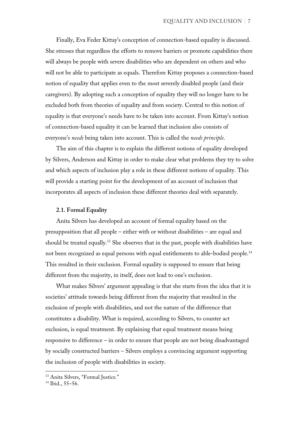Finally, Eva Feder Kittay's conception of connection-based equality is discussed. She stresses that regardless the efforts to remove barriers or promote capabilities there will always be people with severe disabilities who are dependent on others and who will not be able to participate as equals. Therefore Kittay proposes a connection-based notion of equality that applies even to the most severely disabled people (and their caregivers). By adopting such a conception of equality they will no longer have to be excluded both from theories of equality and from society. Central to this notion of equality is that everyone's needs have to be taken into account. From Kittay's notion of connection-based equality it can be learned that inclusion also consists of everyone's *needs* being taken into account. This is called the *needs principle*.

The aim of this chapter is to explain the different notions of equality developed by Silvers, Anderson and Kittay in order to make clear what problems they try to solve and which aspects of inclusion play a role in these different notions of equality. This will provide a starting point for the development of an account of inclusion that incorporates all aspects of inclusion these different theories deal with separately.

#### **2.1. Formal Equality**

Anita Silvers has developed an account of formal equality based on the presupposition that all people – either with or without disabilities – are equal and should be treated equally.13 She observes that in the past, people with disabilities have not been recognized as equal persons with equal entitlements to able-bodied people.<sup>14</sup> This resulted in their exclusion. Formal equality is supposed to ensure that being different from the majority, in itself, does not lead to one's exclusion.

What makes Silvers' argument appealing is that she starts from the idea that it is societies' attitude towards being different from the majority that resulted in the exclusion of people with disabilities, and not the nature of the difference that constitutes a disability. What is required, according to Silvers, to counter act exclusion, is equal treatment. By explaining that equal treatment means being responsive to difference – in order to ensure that people are not being disadvantaged by socially constructed barriers – Silvers employs a convincing argument supporting the inclusion of people with disabilities in society.

 <sup>13</sup> Anita Silvers, "Formal Justice."

 $14$  Ibid., 55–56.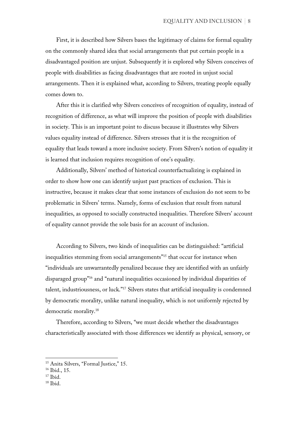First, it is described how Silvers bases the legitimacy of claims for formal equality on the commonly shared idea that social arrangements that put certain people in a disadvantaged position are unjust. Subsequently it is explored why Silvers conceives of people with disabilities as facing disadvantages that are rooted in unjust social arrangements. Then it is explained what, according to Silvers, treating people equally comes down to.

After this it is clarified why Silvers conceives of recognition of equality, instead of recognition of difference, as what will improve the position of people with disabilities in society. This is an important point to discuss because it illustrates why Silvers values equality instead of difference. Silvers stresses that it is the recognition of equality that leads toward a more inclusive society. From Silvers's notion of equality it is learned that inclusion requires recognition of one's equality.

Additionally, Silvers' method of historical counterfactualizing is explained in order to show how one can identify unjust past practices of exclusion. This is instructive, because it makes clear that some instances of exclusion do not seem to be problematic in Silvers' terms. Namely, forms of exclusion that result from natural inequalities, as opposed to socially constructed inequalities. Therefore Silvers' account of equality cannot provide the sole basis for an account of inclusion.

According to Silvers, two kinds of inequalities can be distinguished: "artificial inequalities stemming from social arrangements<sup>"15</sup> that occur for instance when "individuals are unwarrantedly penalized because they are identified with an unfairly disparaged group"16 and "natural inequalities occasioned by individual disparities of talent, industriousness, or luck."17 Silvers states that artificial inequality is condemned by democratic morality, unlike natural inequality, which is not uniformly rejected by democratic morality.18

Therefore, according to Silvers, "we must decide whether the disadvantages characteristically associated with those differences we identify as physical, sensory, or

 

 $18$  Ibid.

<sup>&</sup>lt;sup>15</sup> Anita Silvers, "Formal Justice," 15.

<sup>16</sup> Ibid., 15.

 $17$  Ibid.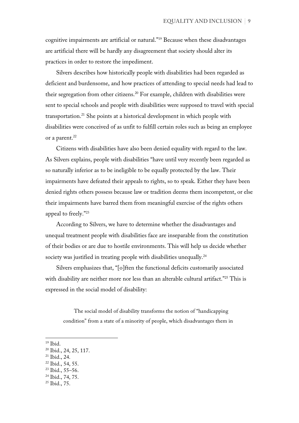cognitive impairments are artificial or natural."19 Because when these disadvantages are artificial there will be hardly any disagreement that society should alter its practices in order to restore the impediment.

Silvers describes how historically people with disabilities had been regarded as deficient and burdensome, and how practices of attending to special needs had lead to their segregation from other citizens.<sup>20</sup> For example, children with disabilities were sent to special schools and people with disabilities were supposed to travel with special transportation.21 She points at a historical development in which people with disabilities were conceived of as unfit to fulfill certain roles such as being an employee or a parent.<sup>22</sup>

Citizens with disabilities have also been denied equality with regard to the law. As Silvers explains, people with disabilities "have until very recently been regarded as so naturally inferior as to be ineligible to be equally protected by the law. Their impairments have defeated their appeals to rights, so to speak. Either they have been denied rights others possess because law or tradition deems them incompetent, or else their impairments have barred them from meaningful exercise of the rights others appeal to freely."23

According to Silvers, we have to determine whether the disadvantages and unequal treatment people with disabilities face are inseparable from the constitution of their bodies or are due to hostile environments. This will help us decide whether society was justified in treating people with disabilities unequally.<sup>24</sup>

Silvers emphasizes that, "[o]ften the functional deficits customarily associated with disability are neither more nor less than an alterable cultural artifact."25 This is expressed in the social model of disability:

The social model of disability transforms the notion of "handicapping condition" from a state of a minority of people, which disadvantages them in

 

<sup>21</sup> Ibid., 24.

<sup>25</sup> Ibid., 75.

 $^{19}$  Ibid.

<sup>20</sup> Ibid., 24, 25, 117.

<sup>22</sup> Ibid., 54, 55.

 $23$  Ibid., 55–56.

<sup>&</sup>lt;sup>24</sup> Ibid., 74, 75.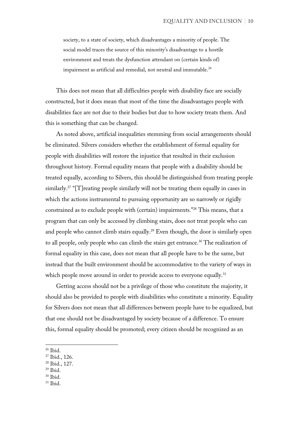society, to a state of society, which disadvantages a minority of people. The social model traces the source of this minority's disadvantage to a hostile environment and treats the dysfunction attendant on (certain kinds of) impairment as artificial and remedial, not neutral and immutable.<sup>26</sup>

This does not mean that all difficulties people with disability face are socially constructed, but it does mean that most of the time the disadvantages people with disabilities face are not due to their bodies but due to how society treats them. And this is something that can be changed.

As noted above, artificial inequalities stemming from social arrangements should be eliminated. Silvers considers whether the establishment of formal equality for people with disabilities will restore the injustice that resulted in their exclusion throughout history. Formal equality means that people with a disability should be treated equally, according to Silvers, this should be distinguished from treating people similarly.<sup>27</sup> "[T] reating people similarly will not be treating them equally in cases in which the actions instrumental to pursuing opportunity are so narrowly or rigidly constrained as to exclude people with (certain) impairments."28 This means, that a program that can only be accessed by climbing stairs, does not treat people who can and people who cannot climb stairs equally.<sup>29</sup> Even though, the door is similarly open to all people, only people who can climb the stairs get entrance.<sup>30</sup> The realization of formal equality in this case, does not mean that all people have to be the same, but instead that the built environment should be accommodative to the variety of ways in which people move around in order to provide access to everyone equally.<sup>31</sup>

Getting access should not be a privilege of those who constitute the majority, it should also be provided to people with disabilities who constitute a minority. Equality for Silvers does not mean that all differences between people have to be equalized, but that one should not be disadvantaged by society because of a difference. To ensure this, formal equality should be promoted; every citizen should be recognized as an

- <sup>29</sup> Ibid.
- <sup>30</sup> Ibid.
- $31$  Ibid.

 $26$  Ibid.

<sup>27</sup> Ibid., 126.

<sup>28</sup> Ibid., 127.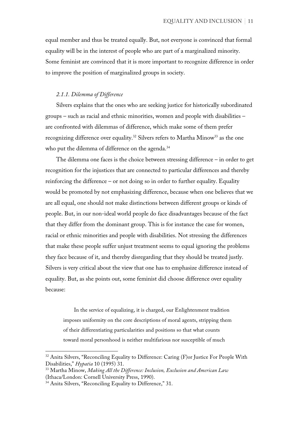equal member and thus be treated equally. But, not everyone is convinced that formal equality will be in the interest of people who are part of a marginalized minority. Some feminist are convinced that it is more important to recognize difference in order to improve the position of marginalized groups in society.

#### *2.1.1. Dilemma of Difference*

Silvers explains that the ones who are seeking justice for historically subordinated groups – such as racial and ethnic minorities, women and people with disabilities – are confronted with dilemmas of difference, which make some of them prefer recognizing difference over equality.<sup>32</sup> Silvers refers to Martha Minow<sup>33</sup> as the one who put the dilemma of difference on the agenda.<sup>34</sup>

The dilemma one faces is the choice between stressing difference – in order to get recognition for the injustices that are connected to particular differences and thereby reinforcing the difference – or not doing so in order to further equality. Equality would be promoted by not emphasizing difference, because when one believes that we are all equal, one should not make distinctions between different groups or kinds of people. But, in our non-ideal world people do face disadvantages because of the fact that they differ from the dominant group. This is for instance the case for women, racial or ethnic minorities and people with disabilities. Not stressing the differences that make these people suffer unjust treatment seems to equal ignoring the problems they face because of it, and thereby disregarding that they should be treated justly. Silvers is very critical about the view that one has to emphasize difference instead of equality. But, as she points out, some feminist did choose difference over equality because:

In the service of equalizing, it is charged, our Enlightenment tradition imposes uniformity on the core descriptions of moral agents, stripping them of their differentiating particularities and positions so that what counts toward moral personhood is neither multifarious nor susceptible of much

<sup>&</sup>lt;sup>32</sup> Anita Silvers, "Reconciling Equality to Difference: Caring (F)or Justice For People With Disabilities," *Hypatia* 10 (1995) 31.

<sup>33</sup> Martha Minow, *Making All the Difference: Inclusion, Exclusion and American Law* (Ithaca/London: Cornell University Press, 1990).

<sup>&</sup>lt;sup>34</sup> Anita Silvers, "Reconciling Equality to Difference," 31.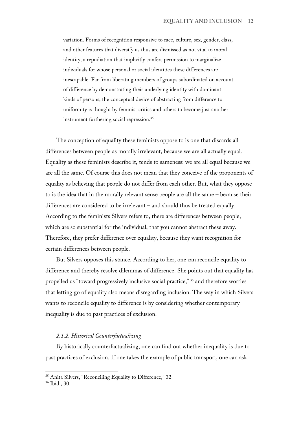variation. Forms of recognition responsive to race, culture, sex, gender, class, and other features that diversify us thus are dismissed as not vital to moral identity, a repudiation that implicitly confers permission to marginalize individuals for whose personal or social identities these differences are inescapable. Far from liberating members of groups subordinated on account of difference by demonstrating their underlying identity with dominant kinds of persons, the conceptual device of abstracting from difference to uniformity is thought by feminist critics and others to become just another instrument furthering social repression.<sup>35</sup>

The conception of equality these feminists oppose to is one that discards all differences between people as morally irrelevant, because we are all actually equal. Equality as these feminists describe it, tends to sameness: we are all equal because we are all the same. Of course this does not mean that they conceive of the proponents of equality as believing that people do not differ from each other. But, what they oppose to is the idea that in the morally relevant sense people are all the same – because their differences are considered to be irrelevant – and should thus be treated equally. According to the feminists Silvers refers to, there are differences between people, which are so substantial for the individual, that you cannot abstract these away. Therefore, they prefer difference over equality, because they want recognition for certain differences between people.

But Silvers opposes this stance. According to her, one can reconcile equality to difference and thereby resolve dilemmas of difference. She points out that equality has propelled us "toward progressively inclusive social practice," <sup>36</sup> and therefore worries that letting go of equality also means disregarding inclusion. The way in which Silvers wants to reconcile equality to difference is by considering whether contemporary inequality is due to past practices of exclusion.

#### *2.1.2. Historical Counterfactualizing*

 

By historically counterfactualizing, one can find out whether inequality is due to past practices of exclusion. If one takes the example of public transport, one can ask

<sup>35</sup> Anita Silvers, "Reconciling Equality to Difference," 32.

<sup>36</sup> Ibid., 30.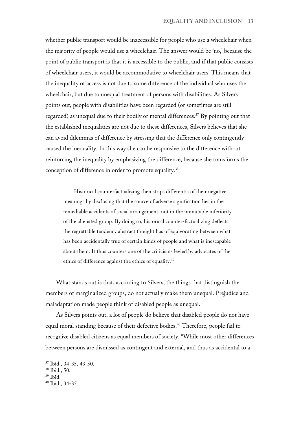whether public transport would be inaccessible for people who use a wheelchair when the majority of people would use a wheelchair. The answer would be 'no,' because the point of public transport is that it is accessible to the public, and if that public consists of wheelchair users, it would be accommodative to wheelchair users. This means that the inequality of access is not due to some difference of the individual who uses the wheelchair, but due to unequal treatment of persons with disabilities. As Silvers points out, people with disabilities have been regarded (or sometimes are still regarded) as unequal due to their bodily or mental differences.<sup>37</sup> By pointing out that the established inequalities are not due to these differences, Silvers believes that she can avoid dilemmas of difference by stressing that the difference only contingently caused the inequality. In this way she can be responsive to the difference without reinforcing the inequality by emphasizing the difference, because she transforms the conception of difference in order to promote equality.38

Historical counterfactualizing then strips differentia of their negative meanings by disclosing that the source of adverse signification lies in the remediable accidents of social arrangement, not in the immutable inferiority of the alienated group. By doing so, historical counter-factualizing deflects the regrettable tendency abstract thought has of equivocating between what has been accidentally true of certain kinds of people and what is inescapable about them. It thus counters one of the criticisms levied by advocates of the ethics of difference against the ethics of equality.39

What stands out is that, according to Silvers, the things that distinguish the members of marginalized groups, do not actually make them unequal. Prejudice and maladaptation made people think of disabled people as unequal.

As Silvers points out, a lot of people do believe that disabled people do not have equal moral standing because of their defective bodies.40 Therefore, people fail to recognize disabled citizens as equal members of society. "While most other differences between persons are dismissed as contingent and external, and thus as accidental to a

<sup>37</sup> Ibid., 34-35, 43-50.

<sup>38</sup> Ibid., 50.

<sup>39</sup> Ibid.

 $40$  Ibid.,  $34-35$ .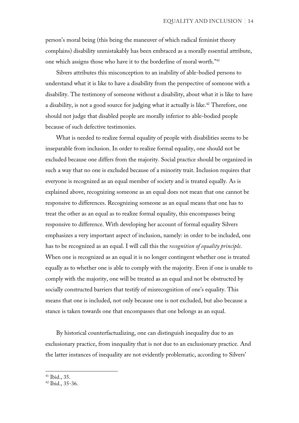person's moral being (this being the maneuver of which radical feminist theory complains) disability unmistakably has been embraced as a morally essential attribute, one which assigns those who have it to the borderline of moral worth."41

Silvers attributes this misconception to an inability of able-bodied persons to understand what it is like to have a disability from the perspective of someone with a disability. The testimony of someone without a disability, about what it is like to have a disability, is not a good source for judging what it actually is like.<sup>42</sup> Therefore, one should not judge that disabled people are morally inferior to able-bodied people because of such defective testimonies.

What is needed to realize formal equality of people with disabilities seems to be inseparable from inclusion. In order to realize formal equality, one should not be excluded because one differs from the majority. Social practice should be organized in such a way that no one is excluded because of a minority trait. Inclusion requires that everyone is recognized as an equal member of society and is treated equally. As is explained above, recognizing someone as an equal does not mean that one cannot be responsive to differences. Recognizing someone as an equal means that one has to treat the other as an equal as to realize formal equality, this encompasses being responsive to difference. With developing her account of formal equality Silvers emphasizes a very important aspect of inclusion, namely: in order to be included, one has to be recognized as an equal. I will call this the *recognition of equality principle*. When one is recognized as an equal it is no longer contingent whether one is treated equally as to whether one is able to comply with the majority. Even if one is unable to comply with the majority, one will be treated as an equal and not be obstructed by socially constructed barriers that testify of misrecognition of one's equality. This means that one is included, not only because one is not excluded, but also because a stance is taken towards one that encompasses that one belongs as an equal.

By historical counterfactualizing, one can distinguish inequality due to an exclusionary practice, from inequality that is not due to an exclusionary practice. And the latter instances of inequality are not evidently problematic, according to Silvers'

<sup>41</sup> Ibid., 35.

 $42$  Ibid.,  $35-36$ .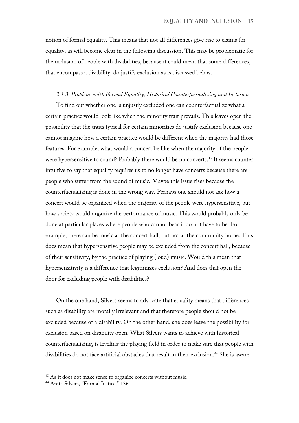notion of formal equality. This means that not all differences give rise to claims for equality, as will become clear in the following discussion. This may be problematic for the inclusion of people with disabilities, because it could mean that some differences, that encompass a disability, do justify exclusion as is discussed below.

#### *2.1.3. Problems with Formal Equality, Historical Counterfactualizing and Inclusion*

To find out whether one is unjustly excluded one can counterfactualize what a certain practice would look like when the minority trait prevails. This leaves open the possibility that the traits typical for certain minorities do justify exclusion because one cannot imagine how a certain practice would be different when the majority had those features. For example, what would a concert be like when the majority of the people were hypersensitive to sound? Probably there would be no concerts.<sup>43</sup> It seems counter intuitive to say that equality requires us to no longer have concerts because there are people who suffer from the sound of music. Maybe this issue rises because the counterfactualizing is done in the wrong way. Perhaps one should not ask how a concert would be organized when the majority of the people were hypersensitive, but how society would organize the performance of music. This would probably only be done at particular places where people who cannot bear it do not have to be. For example, there can be music at the concert hall, but not at the community home. This does mean that hypersensitive people may be excluded from the concert hall, because of their sensitivity, by the practice of playing (loud) music. Would this mean that hypersensitivity is a difference that legitimizes exclusion? And does that open the door for excluding people with disabilities?

On the one hand, Silvers seems to advocate that equality means that differences such as disability are morally irrelevant and that therefore people should not be excluded because of a disability. On the other hand, she does leave the possibility for exclusion based on disability open. What Silvers wants to achieve with historical counterfactualizing, is leveling the playing field in order to make sure that people with disabilities do not face artificial obstacles that result in their exclusion.<sup>44</sup> She is aware

<sup>&</sup>lt;sup>43</sup> As it does not make sense to organize concerts without music.

<sup>&</sup>lt;sup>44</sup> Anita Silvers, "Formal Justice," 136.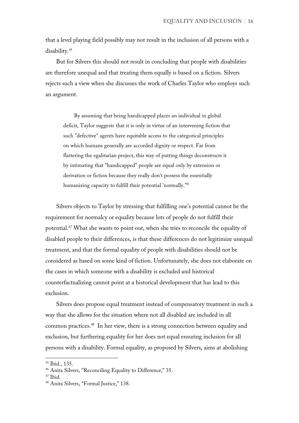that a level playing field possibly may not result in the inclusion of all persons with a disability.<sup>45</sup>

But for Silvers this should not result in concluding that people with disabilities are therefore unequal and that treating them equally is based on a fiction. Silvers rejects such a view when she discusses the work of Charles Taylor who employs such an argument.

By assuming that being handicapped places an individual in global deficit, Taylor suggests that it is only in virtue of an intervening fiction that such "defective" agents have equitable access to the categorical principles on which humans generally are accorded dignity or respect. Far from flattering the egalitarian project, this way of putting things deconstructs it by intimating that "handicapped" people are equal only by extension or derivation or fiction because they really don't possess the essentially humanizing capacity to fulfill their potential 'normally.<sup>'46</sup>

Silvers objects to Taylor by stressing that fulfilling one's potential cannot be the requirement for normalcy or equality because lots of people do not fulfill their potential.47 What she wants to point out, when she tries to reconcile the equality of disabled people to their differences, is that these differences do not legitimize unequal treatment, and that the formal equality of people with disabilities should not be considered as based on some kind of fiction. Unfortunately, she does not elaborate on the cases in which someone with a disability is excluded and historical counterfactualizing cannot point at a historical development that has lead to this exclusion.

Silvers does propose equal treatment instead of compensatory treatment in such a way that she allows for the situation where not all disabled are included in all common practices.48 In her view, there is a strong connection between equality and exclusion, but furthering equality for her does not equal ensuring inclusion for all persons with a disability. Formal equality, as proposed by Silvers, aims at abolishing

<sup>45</sup> Ibid., 135.

<sup>46</sup> Anita Silvers, "Reconciling Equality to Difference," 35.

<sup>47</sup> Ibid.

<sup>48</sup> Anita Silvers, "Formal Justice," 138.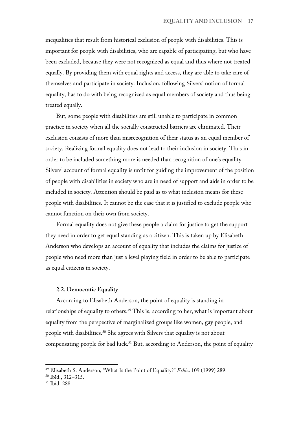inequalities that result from historical exclusion of people with disabilities. This is important for people with disabilities, who are capable of participating, but who have been excluded, because they were not recognized as equal and thus where not treated equally. By providing them with equal rights and access, they are able to take care of themselves and participate in society. Inclusion, following Silvers' notion of formal equality, has to do with being recognized as equal members of society and thus being treated equally.

But, some people with disabilities are still unable to participate in common practice in society when all the socially constructed barriers are eliminated. Their exclusion consists of more than misrecognition of their status as an equal member of society. Realizing formal equality does not lead to their inclusion in society. Thus in order to be included something more is needed than recognition of one's equality. Silvers' account of formal equality is unfit for guiding the improvement of the position of people with disabilities in society who are in need of support and aids in order to be included in society. Attention should be paid as to what inclusion means for these people with disabilities. It cannot be the case that it is justified to exclude people who cannot function on their own from society.

Formal equality does not give these people a claim for justice to get the support they need in order to get equal standing as a citizen. This is taken up by Elisabeth Anderson who develops an account of equality that includes the claims for justice of people who need more than just a level playing field in order to be able to participate as equal citizens in society.

#### **2.2. Democratic Equality**

 

According to Elisabeth Anderson, the point of equality is standing in relationships of equality to others.<sup>49</sup> This is, according to her, what is important about equality from the perspective of marginalized groups like women, gay people, and people with disabilities.50 She agrees with Silvers that equality is not about compensating people for bad luck.<sup>51</sup> But, according to Anderson, the point of equality

<sup>49</sup> Elisabeth S. Anderson, "What Is the Point of Equality?" *Ethics* 109 (1999) 289.

<sup>50</sup> Ibid., 312–315.

<sup>51</sup> Ibid. 288.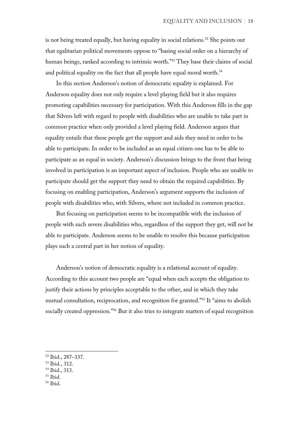is not being treated equally, but having equality in social relations.<sup>52</sup> She points out that egalitarian political movements oppose to "basing social order on a hierarchy of human beings, ranked according to intrinsic worth."53 They base their claims of social and political equality on the fact that all people have equal moral worth.<sup>54</sup>

In this section Anderson's notion of democratic equality is explained. For Anderson equality does not only require a level playing field but it also requires promoting capabilities necessary for participation. With this Anderson fills in the gap that Silvers left with regard to people with disabilities who are unable to take part in common practice when only provided a level playing field. Anderson argues that equality entails that these people get the support and aids they need in order to be able to participate. In order to be included as an equal citizen one has to be able to participate as an equal in society. Anderson's discussion brings to the front that being involved in participation is an important aspect of inclusion. People who are unable to participate should get the support they need to obtain the required capabilities. By focusing on enabling participation, Anderson's argument supports the inclusion of people with disabilities who, with Silvers, where not included in common practice.

But focusing on participation seems to be incompatible with the inclusion of people with such severe disabilities who, regardless of the support they get, will not be able to participate. Anderson seems to be unable to resolve this because participation plays such a central part in her notion of equality.

Anderson's notion of democratic equality is a relational account of equality. According to this account two people are "equal when each accepts the obligation to justify their actions by principles acceptable to the other, and in which they take mutual consultation, reciprocation, and recognition for granted."55 It "aims to abolish socially created oppression."<sup>56</sup> But it also tries to integrate matters of equal recognition

 

 $56$  Ibid.

<sup>52</sup> Ibid., 287–337.

<sup>53</sup> Ibid., 312.

<sup>54</sup> Ibid., 313.

<sup>55</sup> Ibid.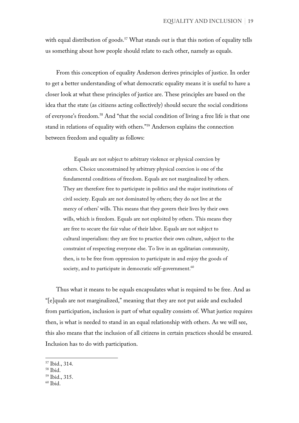with equal distribution of goods.<sup>57</sup> What stands out is that this notion of equality tells us something about how people should relate to each other, namely as equals.

From this conception of equality Anderson derives principles of justice. In order to get a better understanding of what democratic equality means it is useful to have a closer look at what these principles of justice are. These principles are based on the idea that the state (as citizens acting collectively) should secure the social conditions of everyone's freedom.58 And "that the social condition of living a free life is that one stand in relations of equality with others."59 Anderson explains the connection between freedom and equality as follows:

Equals are not subject to arbitrary violence or physical coercion by others. Choice unconstrained by arbitrary physical coercion is one of the fundamental conditions of freedom. Equals are not marginalized by others. They are therefore free to participate in politics and the major institutions of civil society. Equals are not dominated by others; they do not live at the mercy of others' wills. This means that they govern their lives by their own wills, which is freedom. Equals are not exploited by others. This means they are free to secure the fair value of their labor. Equals are not subject to cultural imperialism: they are free to practice their own culture, subject to the constraint of respecting everyone else. To live in an egalitarian community, then, is to be free from oppression to participate in and enjoy the goods of society, and to participate in democratic self-government.<sup>60</sup>

Thus what it means to be equals encapsulates what is required to be free. And as "[e]quals are not marginalized," meaning that they are not put aside and excluded from participation, inclusion is part of what equality consists of. What justice requires then, is what is needed to stand in an equal relationship with others. As we will see, this also means that the inclusion of all citizens in certain practices should be ensured. Inclusion has to do with participation.

 

<sup>59</sup> Ibid., 315.

<sup>57</sup> Ibid., 314.

<sup>58</sup> Ibid.

 $60$  Ibid.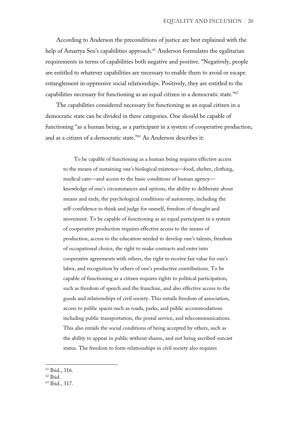According to Anderson the preconditions of justice are best explained with the help of Amartya Sen's capabilities approach.<sup>61</sup> Anderson formulates the egalitarian requirements in terms of capabilities both negative and positive. "Negatively, people are entitled to whatever capabilities are necessary to enable them to avoid or escape entanglement in oppressive social relationships. Positively, they are entitled to the capabilities necessary for functioning as an equal citizen in a democratic state."62

The capabilities considered necessary for functioning as an equal citizen in a democratic state can be divided in three categories. One should be capable of functioning "as a human being, as a participant in a system of cooperative production, and as a citizen of a democratic state."63 As Anderson describes it:

To be capable of functioning as a human being requires effective access to the means of sustaining one's biological existence—food, shelter, clothing, medical care—and access to the basic conditions of human agency knowledge of one's circumstances and options, the ability to deliberate about means and ends, the psychological conditions of autonomy, including the self-confidence to think and judge for oneself, freedom of thought and movement. To be capable of functioning as an equal participant in a system of cooperative production requires effective access to the means of production, access to the education needed to develop one's talents, freedom of occupational choice, the right to make contracts and enter into cooperative agreements with others, the right to receive fair value for one's labor, and recognition by others of one's productive contributions. To be capable of functioning as a citizen requires rights to political participation, such as freedom of speech and the franchise, and also effective access to the goods and relationships of civil society. This entails freedom of association, access to public spaces such as roads, parks, and public accommodations including public transportation, the postal service, and telecommunications. This also entails the social conditions of being accepted by others, such as the ability to appear in public without shame, and not being ascribed outcast status. The freedom to form relationships in civil society also requires

<sup>61</sup> Ibid., 316.

<sup>62</sup> Ibid.

<sup>63</sup> Ibid., 317.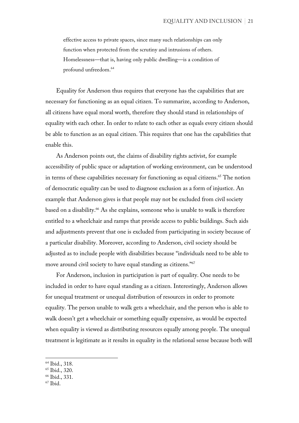effective access to private spaces, since many such relationships can only function when protected from the scrutiny and intrusions of others. Homelessness—that is, having only public dwelling—is a condition of profound unfreedom.<sup>64</sup>

Equality for Anderson thus requires that everyone has the capabilities that are necessary for functioning as an equal citizen. To summarize, according to Anderson, all citizens have equal moral worth, therefore they should stand in relationships of equality with each other. In order to relate to each other as equals every citizen should be able to function as an equal citizen. This requires that one has the capabilities that enable this.

As Anderson points out, the claims of disability rights activist, for example accessibility of public space or adaptation of working environment, can be understood in terms of these capabilities necessary for functioning as equal citizens.<sup>65</sup> The notion of democratic equality can be used to diagnose exclusion as a form of injustice. An example that Anderson gives is that people may not be excluded from civil society based on a disability.<sup>66</sup> As she explains, someone who is unable to walk is therefore entitled to a wheelchair and ramps that provide access to public buildings. Such aids and adjustments prevent that one is excluded from participating in society because of a particular disability. Moreover, according to Anderson, civil society should be adjusted as to include people with disabilities because "individuals need to be able to move around civil society to have equal standing as citizens."67

For Anderson, inclusion in participation is part of equality. One needs to be included in order to have equal standing as a citizen. Interestingly, Anderson allows for unequal treatment or unequal distribution of resources in order to promote equality. The person unable to walk gets a wheelchair, and the person who is able to walk doesn't get a wheelchair or something equally expensive, as would be expected when equality is viewed as distributing resources equally among people. The unequal treatment is legitimate as it results in equality in the relational sense because both will

- <sup>66</sup> Ibid., 331.
- $67$  Ibid.

<sup>64</sup> Ibid., 318.

<sup>65</sup> Ibid., 320.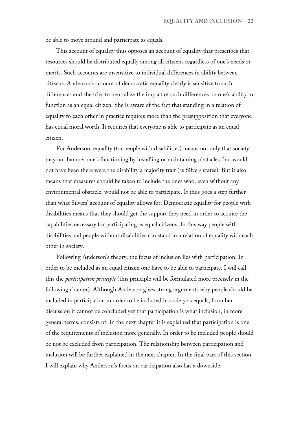be able to move around and participate as equals.

This account of equality thus opposes an account of equality that prescribes that resources should be distributed equally among all citizens regardless of one's needs or merits. Such accounts are insensitive to individual differences in ability between citizens. Anderson's account of democratic equality clearly is sensitive to such differences and she tries to neutralize the impact of such differences on one's ability to function as an equal citizen. She is aware of the fact that standing in a relation of equality to each other in practice requires more than the presupposition that everyone has equal moral worth. It requires that everyone is able to participate as an equal citizen.

For Anderson, equality (for people with disabilities) means not only that society may not hamper one's functioning by installing or maintaining obstacles that would not have been there were the disability a majority trait (as Silvers states). But it also means that measures should be taken to include the ones who, even without any environmental obstacle, would not be able to participate. It thus goes a step further than what Silvers' account of equality allows for. Democratic equality for people with disabilities means that they should get the support they need in order to acquire the capabilities necessary for participating as equal citizens. In this way people with disabilities and people without disabilities can stand in a relation of equality with each other in society.

Following Anderson's theory, the focus of inclusion lies with participation. In order to be included as an equal citizen one have to be able to participate. I will call this the *participation principle* (this principle will be formulated more precisely in the following chapter). Although Anderson gives strong arguments why people should be included in participation in order to be included in society as equals, from her discussion it cannot be concluded yet that participation is what inclusion, in more general terms, consists of. In the next chapter it is explained that participation is one of the requirements of inclusion more generally. In order to be included people should be not be excluded from participation. The relationship between participation and inclusion will be further explained in the next chapter. In the final part of this section I will explain why Anderson's focus on participation also has a downside.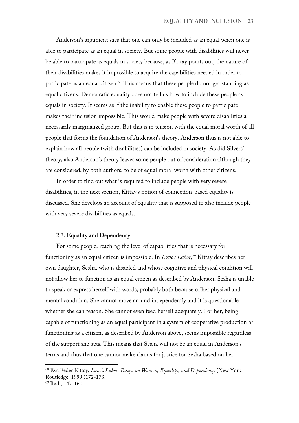Anderson's argument says that one can only be included as an equal when one is able to participate as an equal in society. But some people with disabilities will never be able to participate as equals in society because, as Kittay points out, the nature of their disabilities makes it impossible to acquire the capabilities needed in order to participate as an equal citizen.<sup>68</sup> This means that these people do not get standing as equal citizens. Democratic equality does not tell us how to include these people as equals in society. It seems as if the inability to enable these people to participate makes their inclusion impossible. This would make people with severe disabilities a necessarily marginalized group. But this is in tension with the equal moral worth of all people that forms the foundation of Anderson's theory. Anderson thus is not able to explain how all people (with disabilities) can be included in society. As did Silvers' theory, also Anderson's theory leaves some people out of consideration although they are considered, by both authors, to be of equal moral worth with other citizens.

In order to find out what is required to include people with very severe disabilities, in the next section, Kittay's notion of connection-based equality is discussed. She develops an account of equality that is supposed to also include people with very severe disabilities as equals.

#### **2.3. Equality and Dependency**

For some people, reaching the level of capabilities that is necessary for functioning as an equal citizen is impossible. In *Love's Labor*, <sup>69</sup> Kittay describes her own daughter, Sesha, who is disabled and whose cognitive and physical condition will not allow her to function as an equal citizen as described by Anderson. Sesha is unable to speak or express herself with words, probably both because of her physical and mental condition. She cannot move around independently and it is questionable whether she can reason. She cannot even feed herself adequately. For her, being capable of functioning as an equal participant in a system of cooperative production or functioning as a citizen, as described by Anderson above, seems impossible regardless of the support she gets. This means that Sesha will not be an equal in Anderson's terms and thus that one cannot make claims for justice for Sesha based on her

<sup>68</sup> Eva Feder Kittay, *Love's Labor: Essays on Women, Equality, and Dependency* (New York: Routledge, 1999 )172-173.

<sup>69</sup> Ibid., 147-160.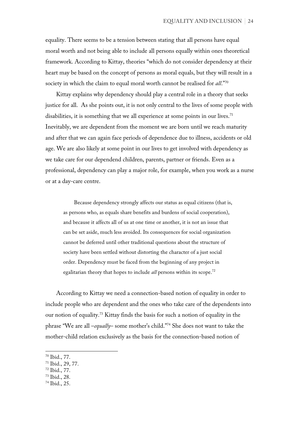equality. There seems to be a tension between stating that all persons have equal moral worth and not being able to include all persons equally within ones theoretical framework. According to Kittay, theories "which do not consider dependency at their heart may be based on the concept of persons as moral equals, but they will result in a society in which the claim to equal moral worth cannot be realised for *all*."70

Kittay explains why dependency should play a central role in a theory that seeks justice for all. As she points out, it is not only central to the lives of some people with disabilities, it is something that we all experience at some points in our lives.<sup>71</sup> Inevitably, we are dependent from the moment we are born until we reach maturity and after that we can again face periods of dependence due to illness, accidents or old age. We are also likely at some point in our lives to get involved with dependency as we take care for our dependend children, parents, partner or friends. Even as a professional, dependency can play a major role, for example, when you work as a nurse or at a day-care centre.

Because dependency strongly affects our status as equal citizens (that is, as persons who, as equals share benefits and burdens of social cooperation), and because it affects all of us at one time or another, it is not an issue that can be set aside, much less avoided. Its consequences for social organization cannot be deferred until other traditional questions about the structure of society have been settled without distorting the character of a just social order. Dependency must be faced from the beginning of any project in egalitarian theory that hopes to include *all* persons within its scope.<sup>72</sup>

According to Kittay we need a connection-based notion of equality in order to include people who are dependent and the ones who take care of the dependents into our notion of equality.73 Kittay finds the basis for such a notion of equality in the phrase "We are all –*equally*– some mother's child."74 She does not want to take the mother-child relation exclusively as the basis for the connection-based notion of

<sup>70</sup> Ibid., 77.

<sup>71</sup> Ibid., 29, 77.

<sup>72</sup> Ibid., 77.

<sup>73</sup> Ibid., 28.

<sup>74</sup> Ibid., 25.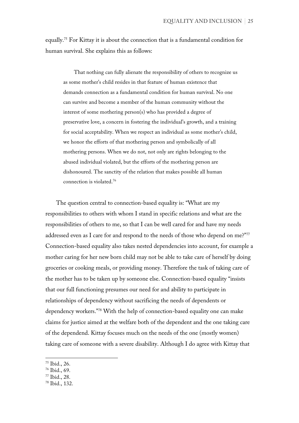equally.75 For Kittay it is about the connection that is a fundamental condition for human survival. She explains this as follows:

That nothing can fully alienate the responsibility of others to recognize us as some mother's child resides in that feature of human existence that demands connection as a fundamental condition for human survival. No one can survive and become a member of the human community without the interest of some mothering person(s) who has provided a degree of preservative love, a concern in fostering the individual's growth, and a training for social acceptability. When we respect an individual as some mother's child, we honor the efforts of that mothering person and symbolically of all mothering persons. When we do not, not only are rights belonging to the abused individual violated, but the efforts of the mothering person are dishonoured. The sanctity of the relation that makes possible all human connection is violated.76

The question central to connection-based equality is: "What are my responsibilities to others with whom I stand in specific relations and what are the responsibilities of others to me, so that I can be well cared for and have my needs addressed even as I care for and respond to the needs of those who depend on me?"77 Connection-based equality also takes nested dependencies into account, for example a mother caring for her new born child may not be able to take care of herself by doing groceries or cooking meals, or providing money. Therefore the task of taking care of the mother has to be taken up by someone else. Connection-based equality "insists that our full functioning presumes our need for and ability to participate in relationships of dependency without sacrificing the needs of dependents or dependency workers."78 With the help of connection-based equality one can make claims for justice aimed at the welfare both of the dependent and the one taking care of the dependend. Kittay focuses much on the needs of the one (mostly women) taking care of someone with a severe disability. Although I do agree with Kittay that

- <sup>76</sup> Ibid., 69.
- <sup>77</sup> Ibid., 28.
- <sup>78</sup> Ibid., 132.

<sup>75</sup> Ibid., 26.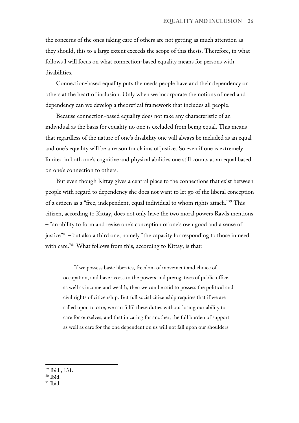the concerns of the ones taking care of others are not getting as much attention as they should, this to a large extent exceeds the scope of this thesis. Therefore, in what follows I will focus on what connection-based equality means for persons with disabilities.

Connection-based equality puts the needs people have and their dependency on others at the heart of inclusion. Only when we incorporate the notions of need and dependency can we develop a theoretical framework that includes all people.

Because connection-based equality does not take any characteristic of an individual as the basis for equality no one is excluded from being equal. This means that regardless of the nature of one's disability one will always be included as an equal and one's equality will be a reason for claims of justice. So even if one is extremely limited in both one's cognitive and physical abilities one still counts as an equal based on one's connection to others.

But even though Kittay gives a central place to the connections that exist between people with regard to dependency she does not want to let go of the liberal conception of a citizen as a "free, independent, equal individual to whom rights attach."79 This citizen, according to Kittay, does not only have the two moral powers Rawls mentions – "an ability to form and revise one's conception of one's own good and a sense of justice"80 – but also a third one, namely "the capacity for responding to those in need with care."<sup>81</sup> What follows from this, according to Kittay, is that:

If we possess basic liberties, freedom of movement and choice of occupation, and have access to the powers and prerogatives of public office, as well as income and wealth, then we can be said to possess the political and civil rights of citizenship. But full social citizenship requires that if we are called upon to care, we can fulfil these duties without losing our ability to care for ourselves, and that in caring for another, the full burden of support as well as care for the one dependent on us will not fall upon our shoulders

 

<sup>81</sup> Ibid.

<sup>79</sup> Ibid., 131.

<sup>80</sup> Ibid.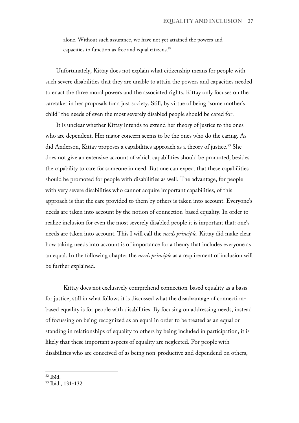alone. Without such assurance, we have not yet attained the powers and capacities to function as free and equal citizens.<sup>82</sup>

Unfortunately, Kittay does not explain what citizenship means for people with such severe disabilities that they are unable to attain the powers and capacities needed to enact the three moral powers and the associated rights. Kittay only focuses on the caretaker in her proposals for a just society. Still, by virtue of being "some mother's child" the needs of even the most severely disabled people should be cared for.

It is unclear whether Kittay intends to extend her theory of justice to the ones who are dependent. Her major concern seems to be the ones who do the caring. As did Anderson, Kittay proposes a capabilities approach as a theory of justice.<sup>83</sup> She does not give an extensive account of which capabilities should be promoted, besides the capability to care for someone in need. But one can expect that these capabilities should be promoted for people with disabilities as well. The advantage, for people with very severe disabilities who cannot acquire important capabilities, of this approach is that the care provided to them by others is taken into account. Everyone's needs are taken into account by the notion of connection-based equality. In order to realize inclusion for even the most severely disabled people it is important that: one's needs are taken into account. This I will call the *needs principle*. Kittay did make clear how taking needs into account is of importance for a theory that includes everyone as an equal. In the following chapter the *needs principle* as a requirement of inclusion will be further explained.

Kittay does not exclusively comprehend connection-based equality as a basis for justice, still in what follows it is discussed what the disadvantage of connectionbased equality is for people with disabilities. By focusing on addressing needs, instead of focussing on being recognized as an equal in order to be treated as an equal or standing in relationships of equality to others by being included in participation, it is likely that these important aspects of equality are neglected. For people with disabilities who are conceived of as being non-productive and dependend on others,

<sup>82</sup> Ibid.

<sup>83</sup> Ibid., 131-132.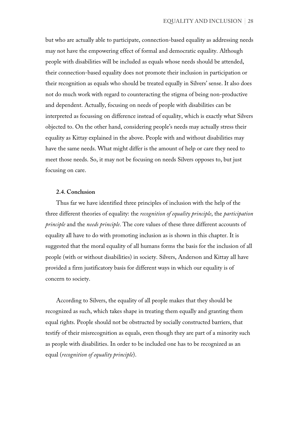but who are actually able to participate, connection-based equality as addressing needs may not have the empowering effect of formal and democratic equality. Although people with disabilities will be included as equals whose needs should be attended, their connection-based equality does not promote their inclusion in participation or their recognition as equals who should be treated equally in Silvers' sense. It also does not do much work with regard to counteracting the stigma of being non-productive and dependent. Actually, focusing on needs of people with disabilities can be interpreted as focussing on difference instead of equality, which is exactly what Silvers objected to. On the other hand, considering people's needs may actually stress their equality as Kittay explained in the above. People with and without disabilities may have the same needs. What might differ is the amount of help or care they need to meet those needs. So, it may not be focusing on needs Silvers opposes to, but just focusing on care.

#### **2.4. Conclusion**

Thus far we have identified three principles of inclusion with the help of the three different theories of equality: the *recognition of equality principle*, the *participation principle* and the *needs principle*. The core values of these three different accounts of equality all have to do with promoting inclusion as is shown in this chapter. It is suggested that the moral equality of all humans forms the basis for the inclusion of all people (with or without disabilities) in society. Silvers, Anderson and Kittay all have provided a firm justificatory basis for different ways in which our equality is of concern to society.

According to Silvers, the equality of all people makes that they should be recognized as such, which takes shape in treating them equally and granting them equal rights. People should not be obstructed by socially constructed barriers, that testify of their misrecognition as equals, even though they are part of a minority such as people with disabilities. In order to be included one has to be recognized as an equal (*recognition of equality principle*).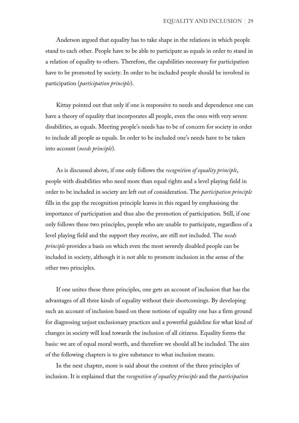Anderson argued that equality has to take shape in the relations in which people stand to each other. People have to be able to participate as equals in order to stand in a relation of equality to others. Therefore, the capabilities necessary for participation have to be promoted by society. In order to be included people should be involved in participation (*participation principle*).

Kittay pointed out that only if one is responsive to needs and dependence one can have a theory of equality that incorporates all people, even the ones with very severe disabilities, as equals. Meeting people's needs has to be of concern for society in order to include all people as equals. In order to be included one's needs have to be taken into account (*needs principle*).

As is discussed above, if one only follows the *recognition of equality principle*, people with disabilities who need more than equal rights and a level playing field in order to be included in society are left out of consideration. The *participation principle* fills in the gap the recognition principle leaves in this regard by emphasising the importance of participation and thus also the promotion of participation. Still, if one only follows these two principles, people who are unable to participate, regardless of a level playing field and the support they receive, are still not included. The *needs principle* provides a basis on which even the most severely disabled people can be included in society, although it is not able to promote inclusion in the sense of the other two principles.

If one unites these three principles, one gets an account of inclusion that has the advantages of all three kinds of equality without their shortcomings. By developing such an account of inclusion based on these notions of equality one has a firm ground for diagnosing unjust exclusionary practices and a powerful guideline for what kind of changes in society will lead towards the inclusion of all citizens. Equality forms the basis: we are of equal moral worth, and therefore we should all be included. The aim of the following chapters is to give substance to what inclusion means.

In the next chapter, more is said about the content of the three principles of inclusion. It is explained that the *recognition of equality principle* and the *participation*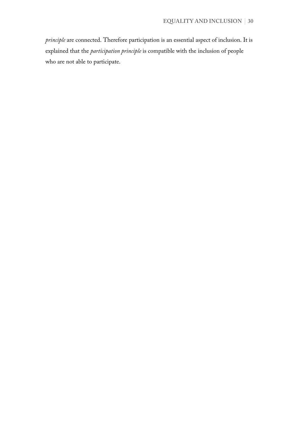*principle* are connected. Therefore participation is an essential aspect of inclusion. It is explained that the *participation principle* is compatible with the inclusion of people who are not able to participate.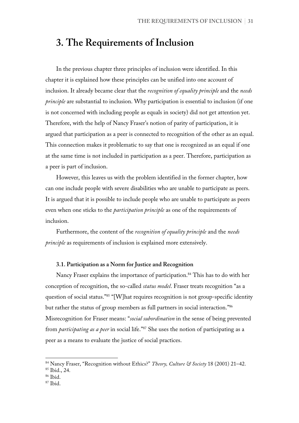### **3. The Requirements of Inclusion**

In the previous chapter three principles of inclusion were identified. In this chapter it is explained how these principles can be unified into one account of inclusion. It already became clear that the *recognition of equality principle* and the *needs principle* are substantial to inclusion. Why participation is essential to inclusion (if one is not concerned with including people as equals in society) did not get attention yet. Therefore, with the help of Nancy Fraser's notion of parity of participation, it is argued that participation as a peer is connected to recognition of the other as an equal. This connection makes it problematic to say that one is recognized as an equal if one at the same time is not included in participation as a peer. Therefore, participation as a peer is part of inclusion.

However, this leaves us with the problem identified in the former chapter, how can one include people with severe disabilities who are unable to participate as peers. It is argued that it is possible to include people who are unable to participate as peers even when one sticks to the *participation principle* as one of the requirements of inclusion.

Furthermore, the content of the *recognition of equality principle* and the *needs principle* as requirements of inclusion is explained more extensively.

#### **3.1. Participation as a Norm for Justice and Recognition**

Nancy Fraser explains the importance of participation. <sup>84</sup> This has to do with her conception of recognition, the so-called *status model*. Fraser treats recognition "as a question of social status."<sup>85</sup> "[W]hat requires recognition is not group-specific identity but rather the status of group members as full partners in social interaction."86 Misrecognition for Fraser means: "*social subordination* in the sense of being prevented from *participating as a peer* in social life."87 She uses the notion of participating as a peer as a means to evaluate the justice of social practices.

<sup>84</sup> Nancy Fraser, "Recognition without Ethics?" *Theory, Culture & Society* 18 (2001) 21–42.

<sup>85</sup> Ibid., 24.

<sup>86</sup> Ibid.

 $87$  Ibid.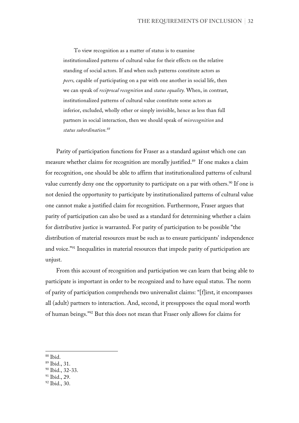To view recognition as a matter of status is to examine institutionalized patterns of cultural value for their effects on the relative standing of social actors. If and when such patterns constitute actors as *peers,* capable of participating on a par with one another in social life, then we can speak of *reciprocal recognition* and *status equality.* When, in contrast, institutionalized patterns of cultural value constitute some actors as inferior, excluded, wholly other or simply invisible, hence as less than full partners in social interaction, then we should speak of *misrecognition* and *status subordination.88*

Parity of participation functions for Fraser as a standard against which one can measure whether claims for recognition are morally justified.<sup>89</sup> If one makes a claim for recognition, one should be able to affirm that institutionalized patterns of cultural value currently deny one the opportunity to participate on a par with others.<sup>90</sup> If one is not denied the opportunity to participate by institutionalized patterns of cultural value one cannot make a justified claim for recognition. Furthermore, Fraser argues that parity of participation can also be used as a standard for determining whether a claim for distributive justice is warranted. For parity of participation to be possible "the distribution of material resources must be such as to ensure participants' independence and voice."91 Inequalities in material resources that impede parity of participation are unjust.

From this account of recognition and participation we can learn that being able to participate is important in order to be recognized and to have equal status. The norm of parity of participation comprehends two universalist claims: "[f]irst, it encompasses all (adult) partners to interaction. And, second, it presupposes the equal moral worth of human beings."92 But this does not mean that Fraser only allows for claims for

 

<sup>91</sup> Ibid., 29.

<sup>88</sup> Ibid.

<sup>89</sup> Ibid., 31.

<sup>90</sup> Ibid., 32-33.

<sup>92</sup> Ibid., 30.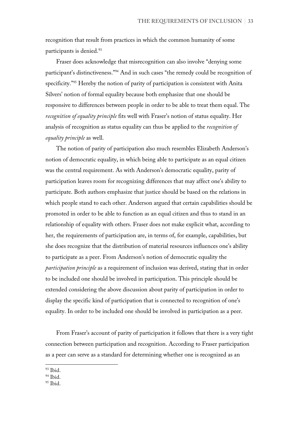recognition that result from practices in which the common humanity of some participants is denied.<sup>93</sup>

Fraser does acknowledge that misrecognition can also involve "denying some participant's distinctiveness."94 And in such cases "the remedy could be recognition of specificity."95 Hereby the notion of parity of participation is consistent with Anita Silvers' notion of formal equality because both emphasize that one should be responsive to differences between people in order to be able to treat them equal. The *recognition of equality principle* fits well with Fraser's notion of status equality. Her analysis of recognition as status equality can thus be applied to the *recognition of equality principle* as well.

The notion of parity of participation also much resembles Elizabeth Anderson's notion of democratic equality, in which being able to participate as an equal citizen was the central requirement. As with Anderson's democratic equality, parity of participation leaves room for recognizing differences that may affect one's ability to participate. Both authors emphasize that justice should be based on the relations in which people stand to each other. Anderson argued that certain capabilities should be promoted in order to be able to function as an equal citizen and thus to stand in an relationship of equality with others. Fraser does not make explicit what, according to her, the requirements of participation are, in terms of, for example, capabilities, but she does recognize that the distribution of material resources influences one's ability to participate as a peer. From Anderson's notion of democratic equality the *participation principle* as a requirement of inclusion was derived, stating that in order to be included one should be involved in participation. This principle should be extended considering the above discussion about parity of participation in order to display the specific kind of participation that is connected to recognition of one's equality. In order to be included one should be involved in participation as a peer.

From Fraser's account of parity of participation it follows that there is a very tight connection between participation and recognition. According to Fraser participation as a peer can serve as a standard for determining whether one is recognized as an

 $93$  Ibid.

<sup>&</sup>lt;sup>94</sup> Ibid.

 $95$  Ibid.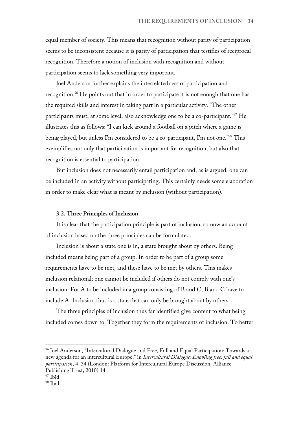equal member of society. This means that recognition without parity of participation seems to be inconsistent because it is parity of participation that testifies of reciprocal recognition. Therefore a notion of inclusion with recognition and without participation seems to lack something very important.

Joel Anderson further explains the interrelatedness of participation and recognition.<sup>96</sup> He points out that in order to participate it is not enough that one has the required skills and interest in taking part in a particular activity. "The other participants must, at some level, also acknowledge one to be a co-participant."97 He illustrates this as follows: "I can kick around a football on a pitch where a game is being played, but unless I'm considered to be a co-participant, I'm not one."98 This exemplifies not only that participation is important for recognition, but also that recognition is essential to participation.

But inclusion does not necessarily entail participation and, as is argued, one can be included in an activity without participating. This certainly needs some elaboration in order to make clear what is meant by inclusion (without participation).

#### **3.2. Three Principles of Inclusion**

It is clear that the participation principle is part of inclusion, so now an account of inclusion based on the three principles can be formulated.

Inclusion is about a state one is in, a state brought about by others. Being included means being part of a group. In order to be part of a group some requirements have to be met, and these have to be met by others. This makes inclusion relational; one cannot be included if others do not comply with one's inclusion. For A to be included in a group consisting of B and C, B and C have to include A. Inclusion thus is a state that can only be brought about by others.

The three principles of inclusion thus far identified give content to what being included comes down to. Together they form the requirements of inclusion. To better

<sup>96</sup> Joel Anderson, "Intercultural Dialogue and Free, Full and Equal Participation: Towards a new agenda for an intercultural Europe," in *Intercultural Dialogue: Enabling free, full and equal participation*, 4–34 (London: Platform for Intercultural Europe Discussion, Alliance Publishing Trust, 2010) 14.

<sup>&</sup>lt;sup>97</sup> Ibid.

 $98$  Ibid.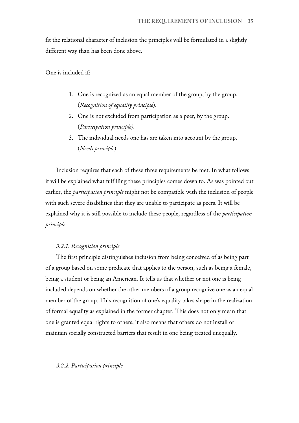fit the relational character of inclusion the principles will be formulated in a slightly different way than has been done above.

One is included if:

- 1. One is recognized as an equal member of the group, by the group. (*Recognition of equality principle*).
- 2. One is not excluded from participation as a peer, by the group. (*Participation principle).*
- 3. The individual needs one has are taken into account by the group. (*Needs principle*).

Inclusion requires that each of these three requirements be met. In what follows it will be explained what fulfilling these principles comes down to. As was pointed out earlier, the *participation principle* might not be compatible with the inclusion of people with such severe disabilities that they are unable to participate as peers. It will be explained why it is still possible to include these people, regardless of the *participation principle*.

#### *3.2.1. Recognition principle*

The first principle distinguishes inclusion from being conceived of as being part of a group based on some predicate that applies to the person, such as being a female, being a student or being an American. It tells us that whether or not one is being included depends on whether the other members of a group recognize one as an equal member of the group. This recognition of one's equality takes shape in the realization of formal equality as explained in the former chapter. This does not only mean that one is granted equal rights to others, it also means that others do not install or maintain socially constructed barriers that result in one being treated unequally.

#### *3.2.2. Participation principle*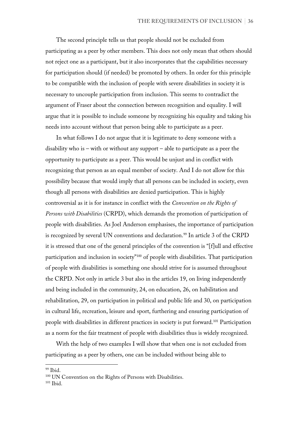The second principle tells us that people should not be excluded from participating as a peer by other members. This does not only mean that others should not reject one as a participant, but it also incorporates that the capabilities necessary for participation should (if needed) be promoted by others. In order for this principle to be compatible with the inclusion of people with severe disabilities in society it is necessary to uncouple participation from inclusion. This seems to contradict the argument of Fraser about the connection between recognition and equality. I will argue that it is possible to include someone by recognizing his equality and taking his needs into account without that person being able to participate as a peer.

In what follows I do not argue that it is legitimate to deny someone with a disability who is – with or without any support – able to participate as a peer the opportunity to participate as a peer. This would be unjust and in conflict with recognizing that person as an equal member of society. And I do not allow for this possibility because that would imply that all persons can be included in society, even though all persons with disabilities are denied participation. This is highly controversial as it is for instance in conflict with the *Convention on the Rights of Persons with Disabilities* (CRPD), which demands the promotion of participation of people with disabilities. As Joel Anderson emphasises, the importance of participation is recognized by several UN conventions and declaration.<sup>99</sup> In article 3 of the CRPD it is stressed that one of the general principles of the convention is "[f]ull and effective participation and inclusion in society"100 of people with disabilities. That participation of people with disabilities is something one should strive for is assumed throughout the CRPD. Not only in article 3 but also in the articles 19, on living independently and being included in the community, 24, on education, 26, on habilitation and rehabilitation, 29, on participation in political and public life and 30, on participation in cultural life, recreation, leisure and sport, furthering and ensuring participation of people with disabilities in different practices in society is put forward.101 Participation as a norm for the fair treatment of people with disabilities thus is widely recognized.

With the help of two examples I will show that when one is not excluded from participating as a peer by others, one can be included without being able to

 

 $101$  Ibid.

 $99$  Ibid.

<sup>&</sup>lt;sup>100</sup> UN Convention on the Rights of Persons with Disabilities.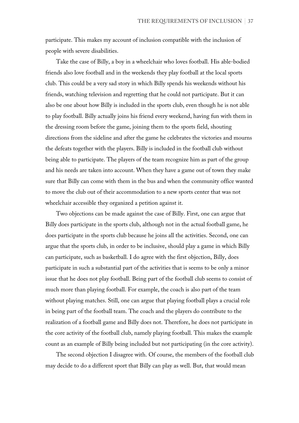participate. This makes my account of inclusion compatible with the inclusion of people with severe disabilities.

Take the case of Billy, a boy in a wheelchair who loves football. His able-bodied friends also love football and in the weekends they play football at the local sports club. This could be a very sad story in which Billy spends his weekends without his friends, watching television and regretting that he could not participate. But it can also be one about how Billy is included in the sports club, even though he is not able to play football. Billy actually joins his friend every weekend, having fun with them in the dressing room before the game, joining them to the sports field, shouting directions from the sideline and after the game he celebrates the victories and mourns the defeats together with the players. Billy is included in the football club without being able to participate. The players of the team recognize him as part of the group and his needs are taken into account. When they have a game out of town they make sure that Billy can come with them in the bus and when the community office wanted to move the club out of their accommodation to a new sports center that was not wheelchair accessible they organized a petition against it.

Two objections can be made against the case of Billy. First, one can argue that Billy does participate in the sports club, although not in the actual football game, he does participate in the sports club because he joins all the activities. Second, one can argue that the sports club, in order to be inclusive, should play a game in which Billy can participate, such as basketball. I do agree with the first objection, Billy, does participate in such a substantial part of the activities that is seems to be only a minor issue that he does not play football. Being part of the football club seems to consist of much more than playing football. For example, the coach is also part of the team without playing matches. Still, one can argue that playing football plays a crucial role in being part of the football team. The coach and the players do contribute to the realization of a football game and Billy does not. Therefore, he does not participate in the core activity of the football club, namely playing football. This makes the example count as an example of Billy being included but not participating (in the core activity).

The second objection I disagree with. Of course, the members of the football club may decide to do a different sport that Billy can play as well. But, that would mean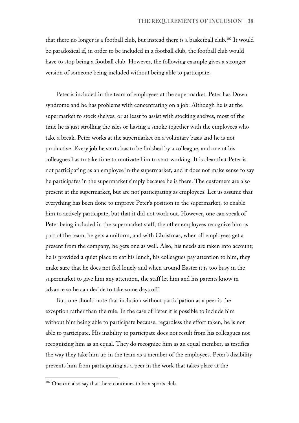that there no longer is a football club, but instead there is a basketball club.<sup>102</sup> It would be paradoxical if, in order to be included in a football club, the football club would have to stop being a football club. However, the following example gives a stronger version of someone being included without being able to participate.

Peter is included in the team of employees at the supermarket. Peter has Down syndrome and he has problems with concentrating on a job. Although he is at the supermarket to stock shelves, or at least to assist with stocking shelves, most of the time he is just strolling the isles or having a smoke together with the employees who take a break. Peter works at the supermarket on a voluntary basis and he is not productive. Every job he starts has to be finished by a colleague, and one of his colleagues has to take time to motivate him to start working. It is clear that Peter is not participating as an employee in the supermarket, and it does not make sense to say he participates in the supermarket simply because he is there. The customers are also present at the supermarket, but are not participating as employees. Let us assume that everything has been done to improve Peter's position in the supermarket, to enable him to actively participate, but that it did not work out. However, one can speak of Peter being included in the supermarket staff; the other employees recognize him as part of the team, he gets a uniform, and with Christmas, when all employees get a present from the company, he gets one as well. Also, his needs are taken into account; he is provided a quiet place to eat his lunch, his colleagues pay attention to him, they make sure that he does not feel lonely and when around Easter it is too busy in the supermarket to give him any attention, the staff let him and his parents know in advance so he can decide to take some days off.

But, one should note that inclusion without participation as a peer is the exception rather than the rule. In the case of Peter it is possible to include him without him being able to participate because, regardless the effort taken, he is not able to participate. His inability to participate does not result from his colleagues not recognizing him as an equal. They do recognize him as an equal member, as testifies the way they take him up in the team as a member of the employees. Peter's disability prevents him from participating as a peer in the work that takes place at the

<sup>&</sup>lt;sup>102</sup> One can also say that there continues to be a sports club.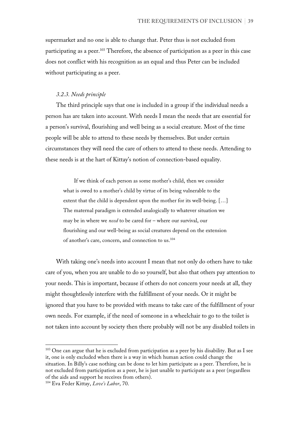supermarket and no one is able to change that. Peter thus is not excluded from participating as a peer.<sup>103</sup> Therefore, the absence of participation as a peer in this case does not conflict with his recognition as an equal and thus Peter can be included without participating as a peer.

## *3.2.3. Needs principle*

 

The third principle says that one is included in a group if the individual needs a person has are taken into account. With needs I mean the needs that are essential for a person's survival, flourishing and well being as a social creature. Most of the time people will be able to attend to these needs by themselves. But under certain circumstances they will need the care of others to attend to these needs. Attending to these needs is at the hart of Kittay's notion of connection-based equality.

If we think of each person as some mother's child, then we consider what is owed to a mother's child by virtue of its being vulnerable to the extent that the child is dependent upon the mother for its well-being. […] The maternal paradigm is extended analogically to whatever situation we may be in where we *need* to be cared for – where our survival, our flourishing and our well-being as social creatures depend on the extension of another's care, concern, and connection to us.104

With taking one's needs into account I mean that not only do others have to take care of you, when you are unable to do so yourself, but also that others pay attention to your needs. This is important, because if others do not concern your needs at all, they might thoughtlessly interfere with the fulfillment of your needs. Or it might be ignored that you have to be provided with means to take care of the fulfillment of your own needs. For example, if the need of someone in a wheelchair to go to the toilet is not taken into account by society then there probably will not be any disabled toilets in

 $103$  One can argue that he is excluded from participation as a peer by his disability. But as I see it, one is only excluded when there is a way in which human action could change the situation. In Billy's case nothing can be done to let him participate as a peer. Therefore, he is not excluded from participation as a peer, he is just unable to participate as a peer (regardless of the aids and support he receives from others). <sup>104</sup> Eva Feder Kittay, *Love's Labor*, 70.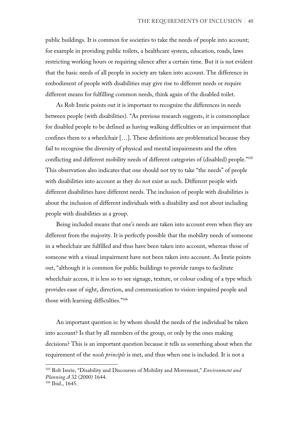public buildings. It is common for societies to take the needs of people into account; for example in providing public toilets, a healthcare system, education, roads, laws restricting working hours or requiring silence after a certain time. But it is not evident that the basic needs of all people in society are taken into account. The difference in embodiment of people with disabilities may give rise to different needs or require different means for fulfilling common needs, think again of the disabled toilet.

As Rob Imrie points out it is important to recognize the differences in needs between people (with disabilities). "As previous research suggests, it is commonplace for disabled people to be defined as having walking difficulties or an impairment that confines them to a wheelchair […]. These definitions are problematical because they fail to recognise the diversity of physical and mental impairments and the often conflicting and different mobility needs of different categories of (disabled) people."105 This observation also indicates that one should not try to take "the needs" of people with disabilities into account as they do not exist as such. Different people with different disabilities have different needs. The inclusion of people with disabilities is about the inclusion of different individuals with a disability and not about including people with disabilities as a group.

Being included means that one's needs are taken into account even when they are different from the majority. It is perfectly possible that the mobility needs of someone in a wheelchair are fulfilled and thus have been taken into account, whereas those of someone with a visual impairment have not been taken into account. As Imrie points out, "although it is common for public buildings to provide ramps to facilitate wheelchair access, it is less so to see signage, texture, or colour coding of a type which provides ease of sight, direction, and communication to vision-impaired people and those with learning difficulties."106

An important question is: by whom should the needs of the individual be taken into account? Is that by all members of the group, or only by the ones making decisions? This is an important question because it tells us something about when the requirement of the *needs principle* is met, and thus when one is included. It is not a

<sup>105</sup> Rob Imrie, "Disability and Discourses of Mobility and Movement," *Environment and Planning A* 32 (2000) 1644.

 $106$  Ibid., 1645.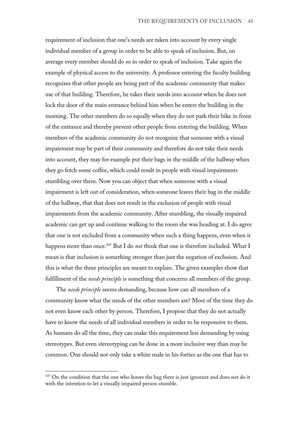requirement of inclusion that one's needs are taken into account by every single individual member of a group in order to be able to speak of inclusion. But, on average every member should do so in order to speak of inclusion. Take again the example of physical access to the university. A professor entering the faculty building recognizes that other people are being part of the academic community that makes use of that building. Therefore, he takes their needs into account when he does not lock the door of the main entrance behind him when he enters the building in the morning. The other members do so equally when they do not park their bike in front of the entrance and thereby prevent other people from entering the building. When members of the academic community do not recognize that someone with a visual impairment may be part of their community and therefore do not take their needs into account, they may for example put their bags in the middle of the hallway when they go fetch some coffee, which could result in people with visual impairments stumbling over them. Now you can object that when someone with a visual impairment is left out of consideration, when someone leaves their bag in the middle of the hallway, that that does not result in the exclusion of people with visual impairments from the academic community. After stumbling, the visually impaired academic can get up and continue walking to the room she was heading at. I do agree that one is not excluded from a community when such a thing happens, even when it happens more than once.107 But I do *not* think that one is therefore included. What I mean is that inclusion is something stronger than just the negation of exclusion. And this is what the three principles are meant to explain. The given examples show that fulfillment of the *needs principle* is something that concerns all members of the group.

The *needs principle* seems demanding, because how can all members of a community know what the needs of the other members are? Most of the time they do not even know each other by person. Therefore, I propose that they do not actually have to know the needs of all individual members in order to be responsive to them. As humans do all the time, they can make this requirement less demanding by using stereotypes. But even stereotyping can be done in a more inclusive way than may be common. One should not only take a white male in his forties as the one that has to

 $107$  On the condition that the one who leaves the bag there is just ignorant and does not do it with the intention to let a visually impaired person stumble.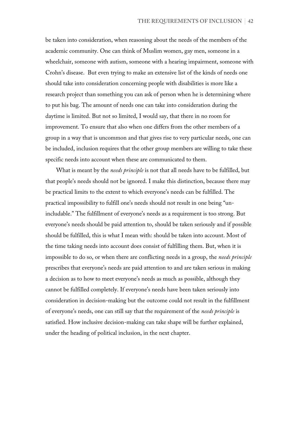be taken into consideration, when reasoning about the needs of the members of the academic community. One can think of Muslim women, gay men, someone in a wheelchair, someone with autism, someone with a hearing impairment, someone with Crohn's disease. But even trying to make an extensive list of the kinds of needs one should take into consideration concerning people with disabilities is more like a research project than something you can ask of person when he is determining where to put his bag. The amount of needs one can take into consideration during the daytime is limited. But not so limited, I would say, that there in no room for improvement. To ensure that also when one differs from the other members of a group in a way that is uncommon and that gives rise to very particular needs, one can be included, inclusion requires that the other group members are willing to take these specific needs into account when these are communicated to them.

What is meant by the *needs principle* is not that all needs have to be fulfilled, but that people's needs should not be ignored. I make this distinction, because there may be practical limits to the extent to which everyone's needs can be fulfilled. The practical impossibility to fulfill one's needs should not result in one being "unincludable." The fulfillment of everyone's needs as a requirement is too strong. But everyone's needs should be paid attention to, should be taken seriously and if possible should be fulfilled, this is what I mean with: should be taken into account. Most of the time taking needs into account does consist of fulfilling them. But, when it is impossible to do so, or when there are conflicting needs in a group, the *needs principle* prescribes that everyone's needs are paid attention to and are taken serious in making a decision as to how to meet everyone's needs as much as possible, although they cannot be fulfilled completely. If everyone's needs have been taken seriously into consideration in decision-making but the outcome could not result in the fulfillment of everyone's needs, one can still say that the requirement of the *needs principle* is satisfied. How inclusive decision-making can take shape will be further explained, under the heading of political inclusion, in the next chapter.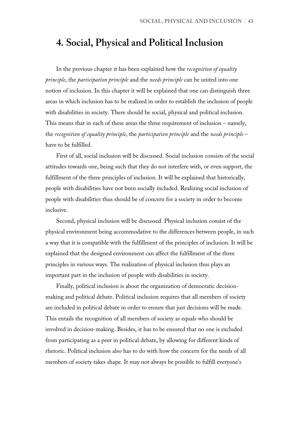# **4. Social, Physical and Political Inclusion**

In the previous chapter it has been explained how the *recognition of equality principle*, the *participation principle* and the *needs principle* can be united into one notion of inclusion. In this chapter it will be explained that one can distinguish three areas in which inclusion has to be realized in order to establish the inclusion of people with disabilities in society. There should be social, physical and political inclusion. This means that in each of these areas the three requirement of inclusion – namely, the *recognition of equality principle*, the *participation principle* and the *needs principle* – have to be fulfilled.

First of all, social inclusion will be discussed. Social inclusion consists of the social attitudes towards one, being such that they do not interfere with, or even support, the fulfillment of the three principles of inclusion. It will be explained that historically, people with disabilities have not been socially included. Realizing social inclusion of people with disabilities thus should be of concern for a society in order to become inclusive.

Second, physical inclusion will be discussed. Physical inclusion consist of the physical environment being accommodative to the differences between people, in such a way that it is compatible with the fulfillment of the principles of inclusion. It will be explained that the designed environment can affect the fulfillment of the three principles in various ways. The realization of physical inclusion thus plays an important part in the inclusion of people with disabilities in society.

Finally, political inclusion is about the organization of democratic decisionmaking and political debate. Political inclusion requires that all members of society are included in political debate in order to ensure that just decisions will be made. This entails the recognition of all members of society as equals who should be involved in decision-making. Besides, it has to be ensured that no one is excluded from participating as a peer in political debate, by allowing for different kinds of rhetoric. Political inclusion also has to do with how the concern for the needs of all members of society takes shape. It may not always be possible to fulfill everyone's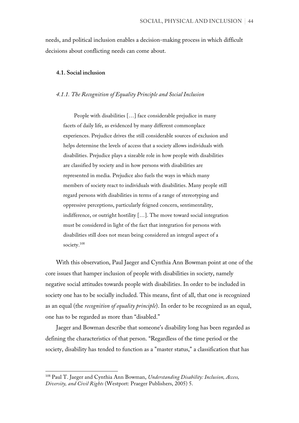needs, and political inclusion enables a decision-making process in which difficult decisions about conflicting needs can come about.

## **4.1. Social inclusion**

 

#### *4.1.1. The Recognition of Equality Principle and Social Inclusion*

People with disabilities […] face considerable prejudice in many facets of daily life, as evidenced by many different commonplace experiences. Prejudice drives the still considerable sources of exclusion and helps determine the levels of access that a society allows individuals with disabilities. Prejudice plays a sizeable role in how people with disabilities are classified by society and in how persons with disabilities are represented in media. Prejudice also fuels the ways in which many members of society react to individuals with disabilities. Many people still regard persons with disabilities in terms of a range of stereotyping and oppressive perceptions, particularly feigned concern, sentimentality, indifference, or outright hostility […]. The move toward social integration must be considered in light of the fact that integration for persons with disabilities still does not mean being considered an integral aspect of a society.<sup>108</sup>

With this observation, Paul Jaeger and Cynthia Ann Bowman point at one of the core issues that hamper inclusion of people with disabilities in society, namely negative social attitudes towards people with disabilities. In order to be included in society one has to be socially included. This means, first of all, that one is recognized as an equal (the *recognition of equality principle*). In order to be recognized as an equal, one has to be regarded as more than "disabled."

Jaeger and Bowman describe that someone's disability long has been regarded as defining the characteristics of that person. "Regardless of the time period or the society, disability has tended to function as a "master status," a classification that has

<sup>108</sup> Paul T. Jaeger and Cynthia Ann Bowman, *Understanding Disability: Inclusion, Access, Diversity, and Civil Rights* (Westport: Praeger Publishers, 2005) 5.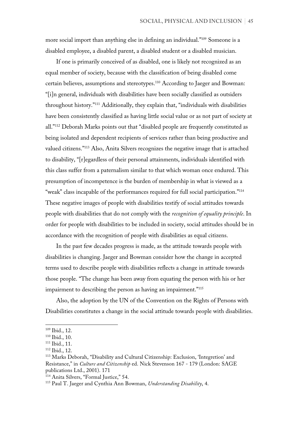more social import than anything else in defining an individual."109 Someone is a disabled employee, a disabled parent, a disabled student or a disabled musician.

If one is primarily conceived of as disabled, one is likely not recognized as an equal member of society, because with the classification of being disabled come certain believes, assumptions and stereotypes.110 According to Jaeger and Bowman: "[i]n general, individuals with disabilities have been socially classified as outsiders throughout history."111 Additionally, they explain that, "individuals with disabilities have been consistently classified as having little social value or as not part of society at all."112 Deborah Marks points out that "disabled people are frequently constituted as being isolated and dependent recipients of services rather than being productive and valued citizens."113 Also, Anita Silvers recognizes the negative image that is attached to disability, "[r]egardless of their personal attainments, individuals identified with this class suffer from a paternalism similar to that which woman once endured. This presumption of incompetence is the burden of membership in what is viewed as a "weak" class incapable of the performances required for full social participation."<sup>114</sup> These negative images of people with disabilities testify of social attitudes towards people with disabilities that do not comply with the *recognition of equality principle*. In order for people with disabilities to be included in society, social attitudes should be in accordance with the recognition of people with disabilities as equal citizens.

In the past few decades progress is made, as the attitude towards people with disabilities is changing. Jaeger and Bowman consider how the change in accepted terms used to describe people with disabilities reflects a change in attitude towards those people. "The change has been away from equating the person with his or her impairment to describing the person as having an impairment."<sup>115</sup>

Also, the adoption by the UN of the Convention on the Rights of Persons with Disabilities constitutes a change in the social attitude towards people with disabilities.

<sup>109</sup> Ibid., 12.

<sup>110</sup> Ibid., 10.

<sup>111</sup> Ibid., 11.

<sup>112</sup> Ibid., 12.

<sup>113</sup> Marks Deborah, "Disability and Cultural Citizenship: Exclusion, 'Integretion' and Resistance," in *Culture and Citizenship* ed. Nick Stevenson 167 - 179 (London: SAGE publications Ltd., 2001). 171

<sup>&</sup>lt;sup>114</sup> Anita Silvers, "Formal Justice," 54.

<sup>115</sup> Paul T. Jaeger and Cynthia Ann Bowman, *Understanding Disability*, 4.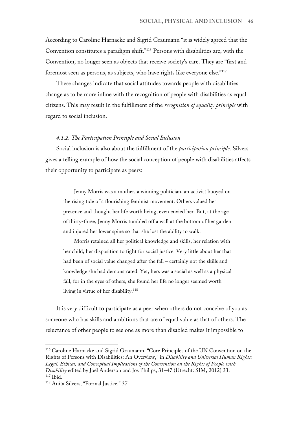According to Caroline Harnacke and Sigrid Graumann "it is widely agreed that the Convention constitutes a paradigm shift."116 Persons with disabilities are, with the Convention, no longer seen as objects that receive society's care. They are "first and foremost seen as persons, as subjects, who have rights like everyone else."117

These changes indicate that social attitudes towards people with disabilities change as to be more inline with the recognition of people with disabilities as equal citizens. This may result in the fulfillment of the *recognition of equality principle* with regard to social inclusion.

#### *4.1.2. The Participation Principle and Social Inclusion*

Social inclusion is also about the fulfillment of the *participation principle*. Silvers gives a telling example of how the social conception of people with disabilities affects their opportunity to participate as peers:

Jenny Morris was a mother, a winning politician, an activist buoyed on the rising tide of a flourishing feminist movement. Others valued her presence and thought her life worth living, even envied her. But, at the age of thirty-three, Jenny Morris tumbled off a wall at the bottom of her garden and injured her lower spine so that she lost the ability to walk.

Morris retained all her political knowledge and skills, her relation with her child, her disposition to fight for social justice. Very little about her that had been of social value changed after the fall – certainly not the skills and knowledge she had demonstrated. Yet, hers was a social as well as a physical fall, for in the eyes of others, she found her life no longer seemed worth living in virtue of her disability.<sup>118</sup>

It is very difficult to participate as a peer when others do not conceive of you as someone who has skills and ambitions that are of equal value as that of others. The reluctance of other people to see one as more than disabled makes it impossible to

<sup>116</sup> Caroline Harnacke and Sigrid Graumann, "Core Principles of the UN Convention on the Rights of Persons with Disabilities: An Overview," in *Disability and Universal Human Rights: Legal, Ethical, and Conceptual Implications of the Convention on the Rights of People with Disability* edited by Joel Anderson and Jos Philips, 31–47 (Utrecht: SIM, 2012) 33. <sup>117</sup> Ibid.

<sup>&</sup>lt;sup>118</sup> Anita Silvers, "Formal Justice," 37.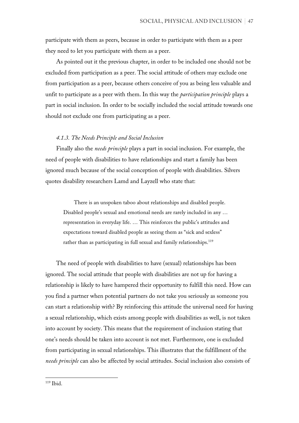participate with them as peers, because in order to participate with them as a peer they need to let you participate with them as a peer.

As pointed out it the previous chapter, in order to be included one should not be excluded from participation as a peer. The social attitude of others may exclude one from participation as a peer, because others conceive of you as being less valuable and unfit to participate as a peer with them. In this way the *participation principle* plays a part in social inclusion. In order to be socially included the social attitude towards one should not exclude one from participating as a peer.

#### *4.1.3. The Needs Principle and Social Inclusion*

Finally also the *needs principle* plays a part in social inclusion. For example, the need of people with disabilities to have relationships and start a family has been ignored much because of the social conception of people with disabilities. Silvers quotes disability researchers Lamd and Layzell who state that:

There is an unspoken taboo about relationships and disabled people. Disabled people's sexual and emotional needs are rarely included in any … representation in everyday life. … This reinforces the public's attitudes and expectations toward disabled people as seeing them as "sick and sexless" rather than as participating in full sexual and family relationships.<sup>119</sup>

The need of people with disabilities to have (sexual) relationships has been ignored. The social attitude that people with disabilities are not up for having a relationship is likely to have hampered their opportunity to fulfill this need. How can you find a partner when potential partners do not take you seriously as someone you can start a relationship with? By reinforcing this attitude the universal need for having a sexual relationship, which exists among people with disabilities as well, is not taken into account by society. This means that the requirement of inclusion stating that one's needs should be taken into account is not met. Furthermore, one is excluded from participating in sexual relationships. This illustrates that the fulfillment of the *needs principle* can also be affected by social attitudes. Social inclusion also consists of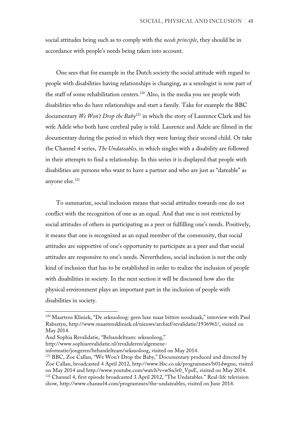social attitudes being such as to comply with the *needs principle*, they should be in accordance with people's needs being taken into account.

One sees that for example in the Dutch society the social attitude with regard to people with disabilities having relationships is changing, as a sexologist is now part of the staff of some rehabilitation centers.120 Also, in the media you see people with disabilities who do have relationships and start a family. Take for example the BBC documentary *We Won't Drop the Baby*<sup>121</sup> in which the story of Laurence Clark and his wife Adele who both have cerebral palsy is told. Laurence and Adele are filmed in the documentary during the period in which they were having their second child. Or take the Channel 4 series, *The Undateables,* in which singles with a disability are followed in their attempts to find a relationship. In this series it is displayed that people with disabilities are persons who want to have a partner and who are just as "dateable" as anyone else.122

To summarize, social inclusion means that social attitudes towards one do not conflict with the recognition of one as an equal. And that one is not restricted by social attitudes of others in participating as a peer or fulfilling one's needs. Positively, it means that one is recognized as an equal member of the community, that social attitudes are supportive of one's opportunity to participate as a peer and that social attitudes are responsive to one's needs. Nevertheless, social inclusion is not the only kind of inclusion that has to be established in order to realize the inclusion of people with disabilities in society. In the next section it will be discussed how also the physical environment plays an important part in the inclusion of people with disabilities in society.

<sup>120</sup> Maartens Kliniek, "De seksuoloog: geen luxe maar bittere noodzaak," interview with Paul Rabsztyn, http://www.maartenskliniek.nl/nieuws/archief/revalidatie/1936961/, visited on May 2014.

And Sophia Revalidatie, "Behandelteam: seksuoloog,"

http://www.sophiarevalidatie.nl/revalideren/algemene-

informatie/jongeren/behandelteam/seksuoloog, visited on May 2014.

<sup>121</sup> BBC, Zoe Callan, "We Won't Drop the Baby," Documentary produced and directed by Zoe Callan, broadcasted 4 April 2012, http://www.bbc.co.uk/programmes/b01dwgnn, visited on May 2014 and http://www.youtube.com/watch?v=wSn3r0\_VpsE, visited on May 2014. <sup>122</sup> Channel 4, first episode broadcasted 3 April 2012, "The Undatables." Real-life television show, http://www.channel4.com/programmes/the-undateables, visited on June 2014.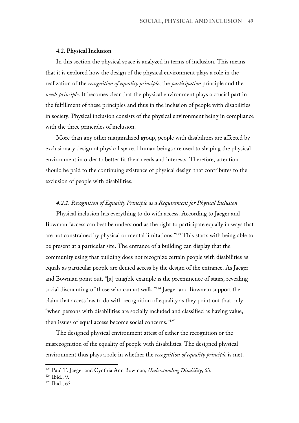#### **4.2. Physical Inclusion**

In this section the physical space is analyzed in terms of inclusion. This means that it is explored how the design of the physical environment plays a role in the realization of the *recognition of equality principle*, the *participation* principle and the *needs principle*. It becomes clear that the physical environment plays a crucial part in the fulfillment of these principles and thus in the inclusion of people with disabilities in society. Physical inclusion consists of the physical environment being in compliance with the three principles of inclusion.

More than any other marginalized group, people with disabilities are affected by exclusionary design of physical space. Human beings are used to shaping the physical environment in order to better fit their needs and interests. Therefore, attention should be paid to the continuing existence of physical design that contributes to the exclusion of people with disabilities.

# *4.2.1. Recognition of Equality Principle as a Requirement for Physical Inclusion*

Physical inclusion has everything to do with access. According to Jaeger and Bowman "access can best be understood as the right to participate equally in ways that are not constrained by physical or mental limitations."123 This starts with being able to be present at a particular site. The entrance of a building can display that the community using that building does not recognize certain people with disabilities as equals as particular people are denied access by the design of the entrance. As Jaeger and Bowman point out, "[a] tangible example is the preeminence of stairs, revealing social discounting of those who cannot walk."124 Jaeger and Bowman support the claim that access has to do with recognition of equality as they point out that only "when persons with disabilities are socially included and classified as having value, then issues of equal access become social concerns."125

The designed physical environment attest of either the recognition or the misrecognition of the equality of people with disabilities. The designed physical environment thus plays a role in whether the *recognition of equality principle* is met.

<sup>123</sup> Paul T. Jaeger and Cynthia Ann Bowman, *Understanding Disability*, 63.

<sup>124</sup> Ibid., 9.

 $125$  Ibid., 63.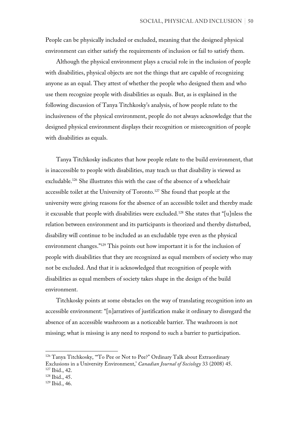People can be physically included or excluded, meaning that the designed physical environment can either satisfy the requirements of inclusion or fail to satisfy them.

Although the physical environment plays a crucial role in the inclusion of people with disabilities, physical objects are not the things that are capable of recognizing anyone as an equal. They attest of whether the people who designed them and who use them recognize people with disabilities as equals. But, as is explained in the following discussion of Tanya Titchkosky's analysis, of how people relate to the inclusiveness of the physical environment, people do not always acknowledge that the designed physical environment displays their recognition or misrecognition of people with disabilities as equals.

Tanya Titchkosky indicates that how people relate to the build environment, that is inaccessible to people with disabilities, may teach us that disability is viewed as excludable.126 She illustrates this with the case of the absence of a wheelchair accessible toilet at the University of Toronto. <sup>127</sup> She found that people at the university were giving reasons for the absence of an accessible toilet and thereby made it excusable that people with disabilities were excluded. <sup>128</sup> She states that "[u]nless the relation between environment and its participants is theorized and thereby disturbed, disability will continue to be included as an excludable type even as the physical environment changes."129 This points out how important it is for the inclusion of people with disabilities that they are recognized as equal members of society who may not be excluded. And that it is acknowledged that recognition of people with disabilities as equal members of society takes shape in the design of the build environment.

Titchkosky points at some obstacles on the way of translating recognition into an accessible environment: "[n]arratives of justification make it ordinary to disregard the absence of an accessible washroom as a noticeable barrier. The washroom is not missing; what is missing is any need to respond to such a barrier to participation.

<sup>126</sup> Tanya Titchkosky, '"To Pee or Not to Pee?" Ordinary Talk about Extraordinary Exclusions in a University Environment,' *Canadian Journal of Sociology* 33 (2008) 45.

<sup>127</sup> Ibid., 42.

<sup>128</sup> Ibid., 45.

 $129$  Ibid., 46.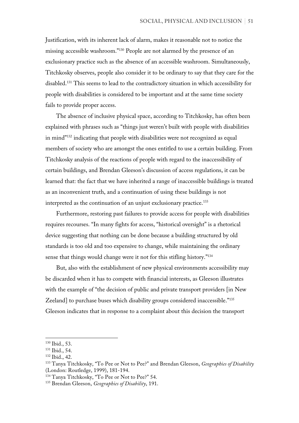Justification, with its inherent lack of alarm, makes it reasonable not to notice the missing accessible washroom."130 People are not alarmed by the presence of an exclusionary practice such as the absence of an accessible washroom. Simultaneously, Titchkosky observes, people also consider it to be ordinary to say that they care for the disabled.131 This seems to lead to the contradictory situation in which accessibility for people with disabilities is considered to be important and at the same time society fails to provide proper access.

The absence of inclusive physical space, according to Titchkosky, has often been explained with phrases such as "things just weren't built with people with disabilities in mind"132 indicating that people with disabilities were not recognized as equal members of society who are amongst the ones entitled to use a certain building. From Titchkosky analysis of the reactions of people with regard to the inaccessibility of certain buildings, and Brendan Gleeson's discussion of access regulations, it can be learned that: the fact that we have inherited a range of inaccessible buildings is treated as an inconvenient truth, and a continuation of using these buildings is not interpreted as the continuation of an unjust exclusionary practice.<sup>133</sup>

Furthermore, restoring past failures to provide access for people with disabilities requires recourses. "In many fights for access, "historical oversight" is a rhetorical device suggesting that nothing can be done because a building structured by old standards is too old and too expensive to change, while maintaining the ordinary sense that things would change were it not for this stifling history."134

But, also with the establishment of new physical environments accessibility may be discarded when it has to compete with financial interests, as Gleeson illustrates with the example of "the decision of public and private transport providers [in New Zeeland] to purchase buses which disability groups considered inaccessible."135 Gleeson indicates that in response to a complaint about this decision the transport

<sup>130</sup> Ibid., 53.

<sup>131</sup> Ibid., 54.

<sup>132</sup> Ibid., 42.

<sup>133</sup> Tanya Titchkosky, "To Pee or Not to Pee?" and Brendan Gleeson, *Geographies of Disability* (London: Routledge, 1999), 181-194.

<sup>134</sup> Tanya Titchkosky, "To Pee or Not to Pee?" 54.

<sup>135</sup> Brendan Gleeson, *Geographies of Disability*, 191.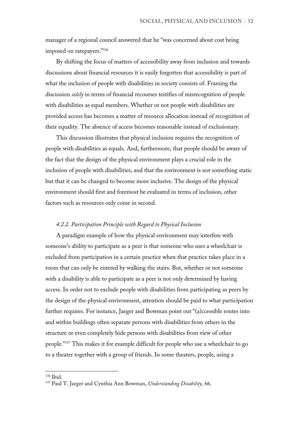manager of a regional council answered that he "was concerned about cost being imposed on ratepayers."136

By shifting the focus of matters of accessibility away from inclusion and towards discussions about financial resources it is easily forgotten that accessibility is part of what the inclusion of people with disabilities in society consists of. Framing the discussion *solely* in terms of financial recourses testifies of misrecognition of people with disabilities as equal members. Whether or not people with disabilities are provided access has becomes a matter of resource allocation instead of recognition of their equality. The absence of access becomes reasonable instead of exclusionary.

This discussion illustrates that physical inclusion requires the recognition of people with disabilities as equals. And, furthermore, that people should be aware of the fact that the design of the physical environment plays a crucial role in the inclusion of people with disabilities, and that the environment is not something static but that it can be changed to become more inclusive. The design of the physical environment should first and foremost be evaluated in terms of inclusion, other factors such as resources only come in second.

# *4.2.2. Participation Principle with Regard to Physical Inclusion*

A paradigm example of how the physical environment may interfere with someone's ability to participate as a peer is that someone who uses a wheelchair is excluded from participation in a certain practice when that practice takes place in a room that can only be entered by walking the stairs. But, whether or not someone with a disability is able to participate as a peer is not only determined by having access. In order not to exclude people with disabilities from participating as peers by the design of the physical environment, attention should be paid to what participation further requires. For instance, Jaeger and Bowman point out "(a)ccessible routes into and within buildings often separate persons with disabilities from others in the structure or even completely hide persons with disabilities from view of other people."137 This makes it for example difficult for people who use a wheelchair to go to a theater together with a group of friends. In some theaters, people, using a

<sup>136</sup> Ibid.

<sup>137</sup> Paul T. Jaeger and Cynthia Ann Bowman, *Understanding Disability,* 66.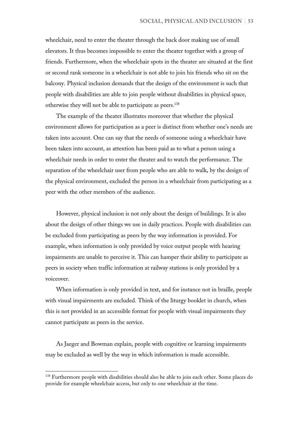wheelchair, need to enter the theater through the back door making use of small elevators. It thus becomes impossible to enter the theater together with a group of friends. Furthermore, when the wheelchair spots in the theater are situated at the first or second rank someone in a wheelchair is not able to join his friends who sit on the balcony. Physical inclusion demands that the design of the environment is such that people with disabilities are able to join people without disabilities in physical space, otherwise they will not be able to participate as peers.138

The example of the theater illustrates moreover that whether the physical environment allows for participation as a peer is distinct from whether one's needs are taken into account. One can say that the needs of someone using a wheelchair have been taken into account, as attention has been paid as to what a person using a wheelchair needs in order to enter the theater and to watch the performance. The separation of the wheelchair user from people who are able to walk, by the design of the physical environment, excluded the person in a wheelchair from participating as a peer with the other members of the audience.

However, physical inclusion is not only about the design of buildings. It is also about the design of other things we use in daily practices. People with disabilities can be excluded from participating as peers by the way information is provided. For example, when information is only provided by voice output people with hearing impairments are unable to perceive it. This can hamper their ability to participate as peers in society when traffic information at railway stations is only provided by a voiceover.

When information is only provided in text, and for instance not in braille, people with visual impairments are excluded. Think of the liturgy booklet in church, when this is not provided in an accessible format for people with visual impairments they cannot participate as peers in the service.

As Jaeger and Bowman explain, people with cognitive or learning impairments may be excluded as well by the way in which information is made accessible.

<sup>&</sup>lt;sup>138</sup> Furthermore people with disabilities should also be able to join each other. Some places do provide for example wheelchair access, but only to one wheelchair at the time.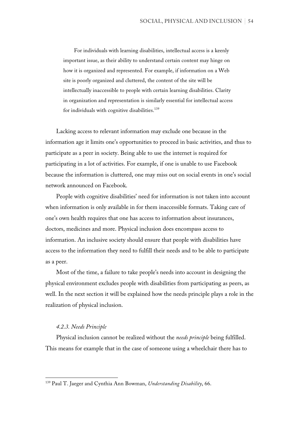For individuals with learning disabilities, intellectual access is a keenly important issue, as their ability to understand certain content may hinge on how it is organized and represented. For example, if information on a Web site is poorly organized and cluttered, the content of the site will be intellectually inaccessible to people with certain learning disabilities. Clarity in organization and representation is similarly essential for intellectual access for individuals with cognitive disabilities.<sup>139</sup>

Lacking access to relevant information may exclude one because in the information age it limits one's opportunities to proceed in basic activities, and thus to participate as a peer in society. Being able to use the internet is required for participating in a lot of activities. For example, if one is unable to use Facebook because the information is cluttered, one may miss out on social events in one's social network announced on Facebook.

People with cognitive disabilities' need for information is not taken into account when information is only available in for them inaccessible formats. Taking care of one's own health requires that one has access to information about insurances, doctors, medicines and more. Physical inclusion does encompass access to information. An inclusive society should ensure that people with disabilities have access to the information they need to fulfill their needs and to be able to participate as a peer.

Most of the time, a failure to take people's needs into account in designing the physical environment excludes people with disabilities from participating as peers, as well. In the next section it will be explained how the needs principle plays a role in the realization of physical inclusion.

#### *4.2.3. Needs Principle*

 

Physical inclusion cannot be realized without the *needs principle* being fulfilled. This means for example that in the case of someone using a wheelchair there has to

<sup>139</sup> Paul T. Jaeger and Cynthia Ann Bowman, *Understanding Disability*, 66.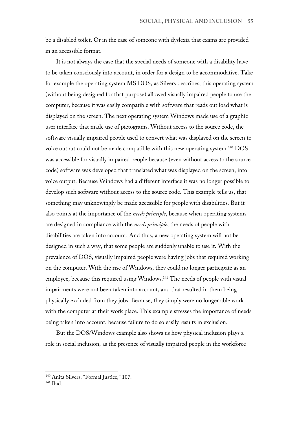be a disabled toilet. Or in the case of someone with dyslexia that exams are provided in an accessible format.

It is not always the case that the special needs of someone with a disability have to be taken consciously into account, in order for a design to be accommodative. Take for example the operating system MS DOS, as Silvers describes, this operating system (without being designed for that purpose) allowed visually impaired people to use the computer, because it was easily compatible with software that reads out load what is displayed on the screen. The next operating system Windows made use of a graphic user interface that made use of pictograms. Without access to the source code, the software visually impaired people used to convert what was displayed on the screen to voice output could not be made compatible with this new operating system.140 DOS was accessible for visually impaired people because (even without access to the source code) software was developed that translated what was displayed on the screen, into voice output. Because Windows had a different interface it was no longer possible to develop such software without access to the source code. This example tells us, that something may unknowingly be made accessible for people with disabilities. But it also points at the importance of the *needs principle*, because when operating systems are designed in compliance with the *needs principle*, the needs of people with disabilities are taken into account. And thus, a new operating system will not be designed in such a way, that some people are suddenly unable to use it. With the prevalence of DOS, visually impaired people were having jobs that required working on the computer. With the rise of Windows, they could no longer participate as an employee, because this required using Windows.<sup>141</sup> The needs of people with visual impairments were not been taken into account, and that resulted in them being physically excluded from they jobs. Because, they simply were no longer able work with the computer at their work place. This example stresses the importance of needs being taken into account, because failure to do so easily results in exclusion.

But the DOS/Windows example also shows us how physical inclusion plays a role in social inclusion, as the presence of visually impaired people in the workforce

<sup>&</sup>lt;sup>140</sup> Anita Silvers, "Formal Justice," 107.

 $141$  Ibid.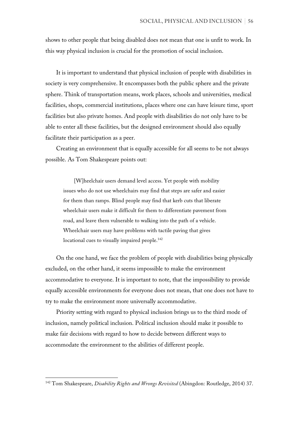shows to other people that being disabled does not mean that one is unfit to work. In this way physical inclusion is crucial for the promotion of social inclusion.

It is important to understand that physical inclusion of people with disabilities in society is very comprehensive. It encompasses both the public sphere and the private sphere. Think of transportation means, work places, schools and universities, medical facilities, shops, commercial institutions, places where one can have leisure time, sport facilities but also private homes. And people with disabilities do not only have to be able to enter all these facilities, but the designed environment should also equally facilitate their participation as a peer.

Creating an environment that is equally accessible for all seems to be not always possible. As Tom Shakespeare points out:

[W]heelchair users demand level access. Yet people with mobility issues who do not use wheelchairs may find that steps are safer and easier for them than ramps. Blind people may find that kerb cuts that liberate wheelchair users make it difficult for them to differentiate pavement from road, and leave them vulnerable to walking into the path of a vehicle. Wheelchair users may have problems with tactile paving that gives locational cues to visually impaired people.<sup>142</sup>

On the one hand, we face the problem of people with disabilities being physically excluded, on the other hand, it seems impossible to make the environment accommodative to everyone. It is important to note, that the impossibility to provide equally accessible environments for everyone does not mean, that one does not have to try to make the environment more universally accommodative.

Priority setting with regard to physical inclusion brings us to the third mode of inclusion, namely political inclusion. Political inclusion should make it possible to make fair decisions with regard to how to decide between different ways to accommodate the environment to the abilities of different people.

<sup>142</sup> Tom Shakespeare, *Disability Rights and Wrongs Revisited* (Abingdon: Routledge, 2014) 37.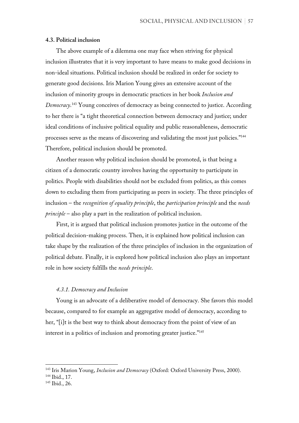## **4.3. Political inclusion**

The above example of a dilemma one may face when striving for physical inclusion illustrates that it is very important to have means to make good decisions in non-ideal situations. Political inclusion should be realized in order for society to generate good decisions. Iris Marion Young gives an extensive account of the inclusion of minority groups in democratic practices in her book *Inclusion and Democracy*. <sup>143</sup> Young conceives of democracy as being connected to justice. According to her there is "a tight theoretical connection between democracy and justice; under ideal conditions of inclusive political equality and public reasonableness, democratic processes serve as the means of discovering and validating the most just policies."144 Therefore, political inclusion should be promoted.

Another reason why political inclusion should be promoted, is that being a citizen of a democratic country involves having the opportunity to participate in politics. People with disabilities should not be excluded from politics, as this comes down to excluding them from participating as peers in society. The three principles of inclusion – the *recognition of equality principle*, the *participation principle* and the *needs principle* – also play a part in the realization of political inclusion.

First, it is argued that political inclusion promotes justice in the outcome of the political decision-making process. Then, it is explained how political inclusion can take shape by the realization of the three principles of inclusion in the organization of political debate. Finally, it is explored how political inclusion also plays an important role in how society fulfills the *needs principle*.

#### *4.3.1. Democracy and Inclusion*

Young is an advocate of a deliberative model of democracy. She favors this model because, compared to for example an aggregative model of democracy, according to her, "[i]t is the best way to think about democracy from the point of view of an interest in a politics of inclusion and promoting greater justice."145

<sup>143</sup> Iris Marion Young, *Inclusion and Democracy* (Oxford: Oxford University Press, 2000).

<sup>144</sup> Ibid., 17.

<sup>145</sup> Ibid., 26.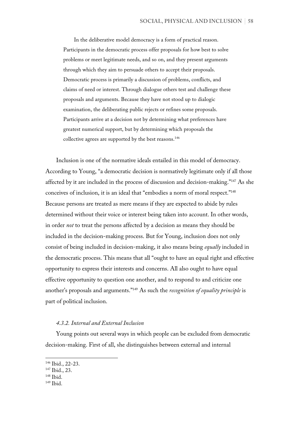In the deliberative model democracy is a form of practical reason. Participants in the democratic process offer proposals for how best to solve problems or meet legitimate needs, and so on, and they present arguments through which they aim to persuade others to accept their proposals. Democratic process is primarily a discussion of problems, conflicts, and claims of need or interest. Through dialogue others test and challenge these proposals and arguments. Because they have not stood up to dialogic examination, the deliberating public rejects or refines some proposals. Participants arrive at a decision not by determining what preferences have greatest numerical support, but by determining which proposals the collective agrees are supported by the best reasons.<sup>146</sup>

Inclusion is one of the normative ideals entailed in this model of democracy. According to Young, "a democratic decision is normatively legitimate only if all those affected by it are included in the process of discussion and decision-making."147 As she conceives of inclusion, it is an ideal that "embodies a norm of moral respect."148 Because persons are treated as mere means if they are expected to abide by rules determined without their voice or interest being taken into account. In other words, in order *not* to treat the persons affected by a decision as means they should be included in the decision-making process. But for Young, inclusion does not only consist of being included in decision-making, it also means being *equally* included in the democratic process. This means that all "ought to have an equal right and effective opportunity to express their interests and concerns. All also ought to have equal effective opportunity to question one another, and to respond to and criticize one another's proposals and arguments."149 As such the *recognition of equality principle* is part of political inclusion.

# *4.3.2. Internal and External Inclusion*

Young points out several ways in which people can be excluded from democratic decision-making. First of all, she distinguishes between external and internal

<sup>146</sup> Ibid., 22-23.

<sup>147</sup> Ibid., 23.

<sup>148</sup> Ibid.

 $149$  Ibid.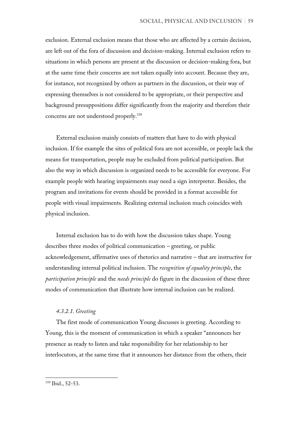exclusion. External exclusion means that those who are affected by a certain decision, are left out of the fora of discussion and decision-making. Internal exclusion refers to situations in which persons are present at the discussion or decision-making fora, but at the same time their concerns are not taken equally into account. Because they are, for instance, not recognized by others as partners in the discussion, or their way of expressing themselves is not considered to be appropriate, or their perspective and background presuppositions differ significantly from the majority and therefore their concerns are not understood properly.150

External exclusion mainly consists of matters that have to do with physical inclusion. If for example the sites of political fora are not accessible, or people lack the means for transportation, people may be excluded from political participation. But also the way in which discussion is organized needs to be accessible for everyone. For example people with hearing impairments may need a sign interpreter. Besides, the program and invitations for events should be provided in a format accessible for people with visual impairments. Realizing external inclusion much coincides with physical inclusion.

Internal exclusion has to do with how the discussion takes shape. Young describes three modes of political communication – greeting, or public acknowledgement, affirmative uses of rhetorics and narrative – that are instructive for understanding internal political inclusion. The *recognition of equality principle*, the *participation principle* and the *needs principle* do figure in the discussion of these three modes of communication that illustrate how internal inclusion can be realized.

# *4.3.2.1. Greeting*

 

The first mode of communication Young discusses is greeting. According to Young, this is the moment of communication in which a speaker "announces her presence as ready to listen and take responsibility for her relationship to her interlocutors, at the same time that it announces her distance from the others, their

 $150$  Ibid.,  $52-53$ .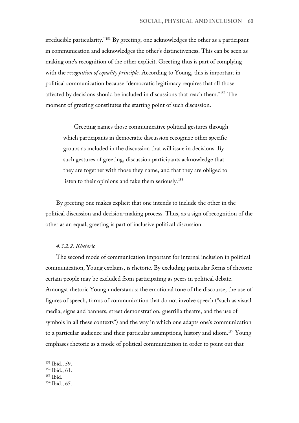irreducible particularity."151 By greeting, one acknowledges the other as a participant in communication and acknowledges the other's distinctiveness. This can be seen as making one's recognition of the other explicit. Greeting thus is part of complying with the *recognition of equality principle*. According to Young, this is important in political communication because "democratic legitimacy requires that all those affected by decisions should be included in discussions that reach them."152 The moment of greeting constitutes the starting point of such discussion.

Greeting names those communicative political gestures through which participants in democratic discussion recognize other specific groups as included in the discussion that will issue in decisions. By such gestures of greeting, discussion participants acknowledge that they are together with those they name, and that they are obliged to listen to their opinions and take them seriously.153

By greeting one makes explicit that one intends to include the other in the political discussion and decision-making process. Thus, as a sign of recognition of the other as an equal, greeting is part of inclusive political discussion.

# *4.3.2.2. Rhetoric*

The second mode of communication important for internal inclusion in political communication, Young explains, is rhetoric. By excluding particular forms of rhetoric certain people may be excluded from participating as peers in political debate. Amongst rhetoric Young understands: the emotional tone of the discourse, the use of figures of speech, forms of communication that do not involve speech ("such as visual media, signs and banners, street demonstration, guerrilla theatre, and the use of symbols in all these contexts") and the way in which one adapts one's communication to a particular audience and their particular assumptions, history and idiom.154 Young emphases rhetoric as a mode of political communication in order to point out that

 

<sup>153</sup> Ibid.

<sup>151</sup> Ibid., 59.

<sup>152</sup> Ibid., 61.

 $154$  Ibid., 65.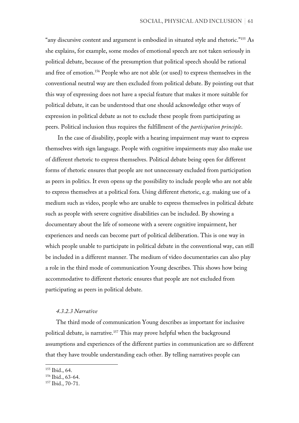"any discursive content and argument is embodied in situated style and rhetoric."<sup>155</sup> As she explains, for example, some modes of emotional speech are not taken seriously in political debate, because of the presumption that political speech should be rational and free of emotion.156 People who are not able (or used) to express themselves in the conventional neutral way are then excluded from political debate. By pointing out that this way of expressing does not have a special feature that makes it more suitable for political debate, it can be understood that one should acknowledge other ways of expression in political debate as not to exclude these people from participating as peers. Political inclusion thus requires the fulfillment of the *participation principle*.

In the case of disability, people with a hearing impairment may want to express themselves with sign language. People with cognitive impairments may also make use of different rhetoric to express themselves. Political debate being open for different forms of rhetoric ensures that people are not unnecessary excluded from participation as peers in politics. It even opens up the possibility to include people who are not able to express themselves at a political fora. Using different rhetoric, e.g. making use of a medium such as video, people who are unable to express themselves in political debate such as people with severe cognitive disabilities can be included. By showing a documentary about the life of someone with a severe cognitive impairment, her experiences and needs can become part of political deliberation. This is one way in which people unable to participate in political debate in the conventional way, can still be included in a different manner. The medium of video documentaries can also play a role in the third mode of communication Young describes. This shows how being accommodative to different rhetoric ensures that people are not excluded from participating as peers in political debate.

# *4.3.2.3 Narrative*

 

The third mode of communication Young describes as important for inclusive political debate, is narrative.157 This may prove helpful when the background assumptions and experiences of the different parties in communication are so different that they have trouble understanding each other. By telling narratives people can

<sup>155</sup> Ibid., 64.

<sup>156</sup> Ibid., 63-64.

<sup>157</sup> Ibid., 70-71.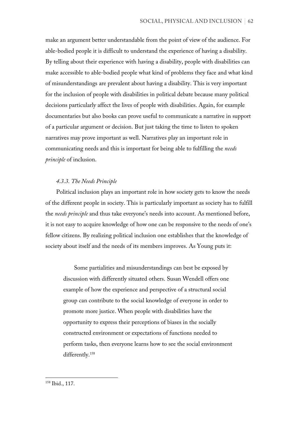make an argument better understandable from the point of view of the audience. For able-bodied people it is difficult to understand the experience of having a disability. By telling about their experience with having a disability, people with disabilities can make accessible to able-bodied people what kind of problems they face and what kind of misunderstandings are prevalent about having a disability. This is very important for the inclusion of people with disabilities in political debate because many political decisions particularly affect the lives of people with disabilities. Again, for example documentaries but also books can prove useful to communicate a narrative in support of a particular argument or decision. But just taking the time to listen to spoken narratives may prove important as well. Narratives play an important role in communicating needs and this is important for being able to fulfilling the *needs principle* of inclusion.

## *4.3.3. The Needs Principle*

Political inclusion plays an important role in how society gets to know the needs of the different people in society. This is particularly important as society has to fulfill the *needs principle* and thus take everyone's needs into account. As mentioned before, it is not easy to acquire knowledge of how one can be responsive to the needs of one's fellow citizens. By realizing political inclusion one establishes that the knowledge of society about itself and the needs of its members improves. As Young puts it:

Some partialities and misunderstandings can best be exposed by discussion with differently situated others. Susan Wendell offers one example of how the experience and perspective of a structural social group can contribute to the social knowledge of everyone in order to promote more justice. When people with disabilities have the opportunity to express their perceptions of biases in the socially constructed environment or expectations of functions needed to perform tasks, then everyone learns how to see the social environment differently.<sup>158</sup>

<sup>158</sup> Ibid., 117.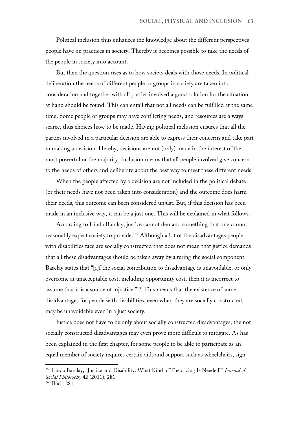Political inclusion thus enhances the knowledge about the different perspectives people have on practices in society. Thereby it becomes possible to take the needs of the people in society into account.

But then the question rises as to how society deals with those needs. In political deliberation the needs of different people or groups in society are taken into consideration and together with all parties involved a good solution for the situation at hand should be found. This can entail that not all needs can be fulfilled at the same time. Some people or groups may have conflicting needs, and resources are always scarce, thus choices have to be made. Having political inclusion ensures that all the parties involved in a particular decision are able to express their concerns and take part in making a decision. Hereby, decisions are not (only) made in the interest of the most powerful or the majority. Inclusion means that all people involved give concern to the needs of others and deliberate about the best way to meet these different needs.

When the people affected by a decision are not included in the political debate (or their needs have not been taken into consideration) and the outcome does harm their needs, this outcome can been considered unjust. But, if this decision has been made in an inclusive way, it can be a just one. This will be explained in what follows.

According to Linda Barclay, justice cannot demand something that one cannot reasonably expect society to provide.159 Although a lot of the disadvantages people with disabilities face are socially constructed that does not mean that justice demands that all these disadvantages should be taken away by altering the social component. Barclay states that "[i]f the social contribution to disadvantage is unavoidable, or only overcome at unacceptable cost, including opportunity cost, then it is incorrect to assume that it is a source of injustice."160 This means that the existence of some disadvantages for people with disabilities, even when they are socially constructed, may be unavoidable even in a just society.

Justice does not have to be only about socially constructed disadvantages, the not socially constructed disadvantages may even prove more difficult to mitigate. As has been explained in the first chapter, for some people to be able to participate as an equal member of society requires certain aids and support such as wheelchairs, sign

<sup>159</sup> Linda Barclay, "Justice and Disability: What Kind of Theorizing Is Needed?" *Journal of Social Philosophy* 42 (2011), 281.  $160$  Ibid., 281.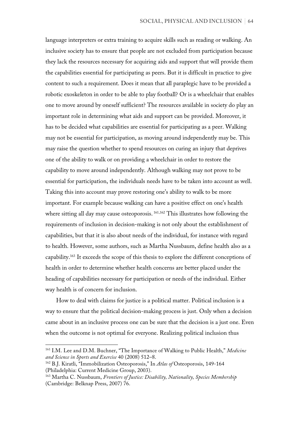language interpreters or extra training to acquire skills such as reading or walking. An inclusive society has to ensure that people are not excluded from participation because they lack the resources necessary for acquiring aids and support that will provide them the capabilities essential for participating as peers. But it is difficult in practice to give content to such a requirement. Does it mean that all paraplegic have to be provided a robotic exoskeleton in order to be able to play football? Or is a wheelchair that enables one to move around by oneself sufficient? The resources available in society do play an important role in determining what aids and support can be provided. Moreover, it has to be decided what capabilities are essential for participating as a peer. Walking may not be essential for participation, as moving around independently may be. This may raise the question whether to spend resources on curing an injury that deprives one of the ability to walk or on providing a wheelchair in order to restore the capability to move around independently. Although walking may not prove to be essential for participation, the individuals needs have to be taken into account as well. Taking this into account may prove restoring one's ability to walk to be more important. For example because walking can have a positive effect on one's health where sitting all day may cause osteoporosis.<sup>161,162</sup> This illustrates how following the requirements of inclusion in decision-making is not only about the establishment of capabilities, but that it is also about needs of the individual, for instance with regard to health. However, some authors, such as Martha Nussbaum, define health also as a capability. <sup>163</sup> It exceeds the scope of this thesis to explore the different conceptions of health in order to determine whether health concerns are better placed under the heading of capabilities necessary for participation or needs of the individual. Either way health is of concern for inclusion.

How to deal with claims for justice is a political matter. Political inclusion is a way to ensure that the political decision-making process is just. Only when a decision came about in an inclusive process one can be sure that the decision is a just one. Even when the outcome is not optimal for everyone. Realizing political inclusion thus

<sup>161</sup> I.M. Lee and D.M. Buchner, "The Importance of Walking to Public Health," *Medicine and Science in Sports and Exercise* 40 (2008) 512–8.

<sup>162</sup> B.J. Kiratli, "Immobilization Osteoporosis," In *Atlas of* Osteoporosis, 149-164 (Philadelphia: Current Medicine Group, 2003).

<sup>163</sup> Martha C. Nussbaum, *Frontiers of Justice: Disability, Nationality, Species Membership* (Cambridge: Belknap Press, 2007) 76.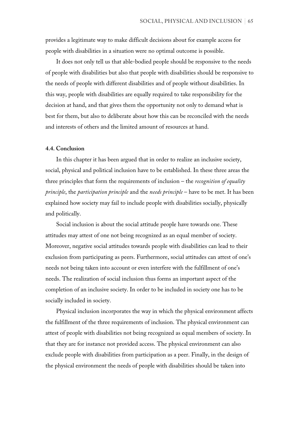provides a legitimate way to make difficult decisions about for example access for people with disabilities in a situation were no optimal outcome is possible.

It does not only tell us that able-bodied people should be responsive to the needs of people with disabilities but also that people with disabilities should be responsive to the needs of people with different disabilities and of people without disabilities. In this way, people with disabilities are equally required to take responsibility for the decision at hand, and that gives them the opportunity not only to demand what is best for them, but also to deliberate about how this can be reconciled with the needs and interests of others and the limited amount of resources at hand.

# **4.4. Conclusion**

In this chapter it has been argued that in order to realize an inclusive society, social, physical and political inclusion have to be established. In these three areas the three principles that form the requirements of inclusion – the *recognition of equality principle*, the *participation principle* and the *needs principle* – have to be met. It has been explained how society may fail to include people with disabilities socially, physically and politically.

Social inclusion is about the social attitude people have towards one. These attitudes may attest of one not being recognized as an equal member of society. Moreover, negative social attitudes towards people with disabilities can lead to their exclusion from participating as peers. Furthermore, social attitudes can attest of one's needs not being taken into account or even interfere with the fulfillment of one's needs. The realization of social inclusion thus forms an important aspect of the completion of an inclusive society. In order to be included in society one has to be socially included in society.

Physical inclusion incorporates the way in which the physical environment affects the fulfillment of the three requirements of inclusion. The physical environment can attest of people with disabilities not being recognized as equal members of society. In that they are for instance not provided access. The physical environment can also exclude people with disabilities from participation as a peer. Finally, in the design of the physical environment the needs of people with disabilities should be taken into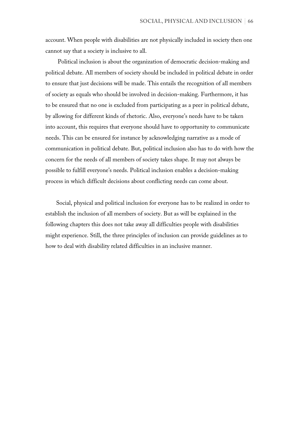account. When people with disabilities are not physically included in society then one cannot say that a society is inclusive to all.

Political inclusion is about the organization of democratic decision-making and political debate. All members of society should be included in political debate in order to ensure that just decisions will be made. This entails the recognition of all members of society as equals who should be involved in decision-making. Furthermore, it has to be ensured that no one is excluded from participating as a peer in political debate, by allowing for different kinds of rhetoric. Also, everyone's needs have to be taken into account, this requires that everyone should have to opportunity to communicate needs. This can be ensured for instance by acknowledging narrative as a mode of communication in political debate. But, political inclusion also has to do with how the concern for the needs of all members of society takes shape. It may not always be possible to fulfill everyone's needs. Political inclusion enables a decision-making process in which difficult decisions about conflicting needs can come about.

Social, physical and political inclusion for everyone has to be realized in order to establish the inclusion of all members of society. But as will be explained in the following chapters this does not take away all difficulties people with disabilities might experience. Still, the three principles of inclusion can provide guidelines as to how to deal with disability related difficulties in an inclusive manner.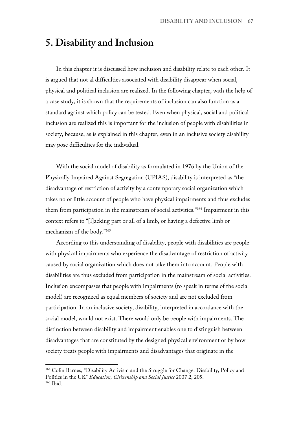# **5. Disability and Inclusion**

In this chapter it is discussed how inclusion and disability relate to each other. It is argued that not al difficulties associated with disability disappear when social, physical and political inclusion are realized. In the following chapter, with the help of a case study, it is shown that the requirements of inclusion can also function as a standard against which policy can be tested. Even when physical, social and political inclusion are realized this is important for the inclusion of people with disabilities in society, because, as is explained in this chapter, even in an inclusive society disability may pose difficulties for the individual.

With the social model of disability as formulated in 1976 by the Union of the Physically Impaired Against Segregation (UPIAS), disability is interpreted as "the disadvantage of restriction of activity by a contemporary social organization which takes no or little account of people who have physical impairments and thus excludes them from participation in the mainstream of social activities."164 Impairment in this context refers to "[l]acking part or all of a limb, or having a defective limb or mechanism of the body."165

According to this understanding of disability, people with disabilities are people with physical impairments who experience the disadvantage of restriction of activity caused by social organization which does not take them into account. People with disabilities are thus excluded from participation in the mainstream of social activities. Inclusion encompasses that people with impairments (to speak in terms of the social model) are recognized as equal members of society and are not excluded from participation. In an inclusive society, disability, interpreted in accordance with the social model, would not exist. There would only be people with impairments. The distinction between disability and impairment enables one to distinguish between disadvantages that are constituted by the designed physical environment or by how society treats people with impairments and disadvantages that originate in the

<sup>164</sup> Colin Barnes, "Disability Activism and the Struggle for Change: Disability, Policy and Politics in the UK" *Education, Citizenship and Social Justice* 2007 2, 205. <sup>165</sup> Ibid.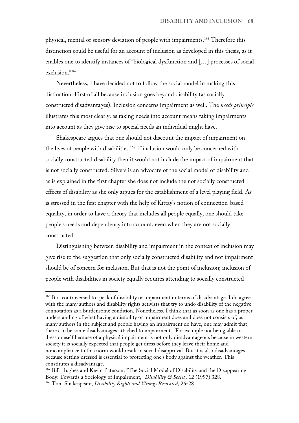physical, mental or sensory deviation of people with impairments.166 Therefore this distinction could be useful for an account of inclusion as developed in this thesis, as it enables one to identify instances of "biological dysfunction and […] processes of social exclusion."167

Nevertheless, I have decided not to follow the social model in making this distinction. First of all because inclusion goes beyond disability (as socially constructed disadvantages). Inclusion concerns impairment as well. The *needs principle* illustrates this most clearly, as taking needs into account means taking impairments into account as they give rise to special needs an individual might have.

Shakespeare argues that one should not discount the impact of impairment on the lives of people with disabilities.<sup>168</sup> If inclusion would only be concerned with socially constructed disability then it would not include the impact of impairment that is not socially constructed. Silvers is an advocate of the social model of disability and as is explained in the first chapter she does not include the not socially constructed effects of disability as she only argues for the establishment of a level playing field. As is stressed in the first chapter with the help of Kittay's notion of connection-based equality, in order to have a theory that includes all people equally, one should take people's needs and dependency into account, even when they are not socially constructed.

Distinguishing between disability and impairment in the context of inclusion may give rise to the suggestion that only socially constructed disability and not impairment should be of concern for inclusion. But that is not the point of inclusion; inclusion of people with disabilities in society equally requires attending to socially constructed

<sup>&</sup>lt;sup>166</sup> It is controversial to speak of disability or impairment in terms of disadvantage. I do agree with the many authors and disability rights activists that try to undo disability of the negative connotation as a burdensome condition. Nonetheless, I think that as soon as one has a proper understanding of what having a disability or impairment does and does not consists of, as many authors in the subject and people having an impairment do have, one may admit that there can be some disadvantages attached to impairments. For example not being able to dress oneself because of a physical impairment is not only disadvantageous because in western society it is socially expected that people get dress before they leave their home and noncompliance to this norm would result in social disapproval. But it is also disadvantages because getting dressed is essential to protecting one's body against the weather. This constitutes a disadvantage.

<sup>&</sup>lt;sup>167</sup> Bill Hughes and Kevin Paterson, "The Social Model of Disability and the Disappearing Body: Towards a Sociology of Impairment," *Disability & Society* 12 (1997) 328. <sup>168</sup> Tom Shakespeare, *Disability Rights and Wrongs Revisited*, 26-28.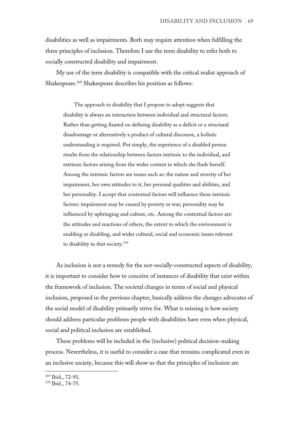disabilities as well as impairments. Both may require attention when fulfilling the three principles of inclusion. Therefore I use the term disability to refer both to socially constructed disability and impairment.

My use of the term disability is compatible with the critical realist approach of Shakespeare.169 Shakespeare describes his position as follows:

The approach to disability that I propose to adopt suggests that disability is always an interaction between individual and structural factors. Rather than getting fixated on defining disability as a deficit or a structural disadvantage or alternatively a product of cultural discourse, a holistic understanding is required. Put simply, the experience of a disabled person results from the relationship between factors intrinsic to the individual, and extrinsic factors arising from the wider context in which she finds herself. Among the intrinsic factors are issues such as: the nature and severity of her impairment, her own attitudes to it, her personal qualities and abilities, and her personality. I accept that contextual factors will influence these intrinsic factors: impairment may be caused by poverty or war; personality may be influenced by upbringing and culture, etc. Among the contextual factors are: the attitudes and reactions of others, the extent to which the environment is enabling or disabling, and wider cultural, social and economic issues relevant to disability in that society.170

As inclusion is not a remedy for the not-socially-constructed aspects of disability, it is important to consider how to conceive of instances of disability that exist within the framework of inclusion. The societal changes in terms of social and physical inclusion, proposed in the previous chapter, basically address the changes advocates of the social model of disability primarily strive for. What is missing is how society should address particular problems people with disabilities have even when physical, social and political inclusion are established.

These problems will be included in the (inclusive) political decision-making process. Nevertheless, it is useful to consider a case that remains complicated even in an inclusive society, because this will show us that the principles of inclusion are

<sup>169</sup> Ibid., 72-91.

<sup>170</sup> Ibid., 74-75.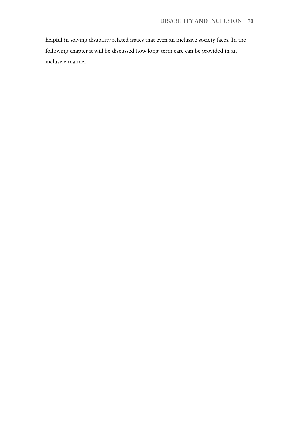helpful in solving disability related issues that even an inclusive society faces. In the following chapter it will be discussed how long-term care can be provided in an inclusive manner.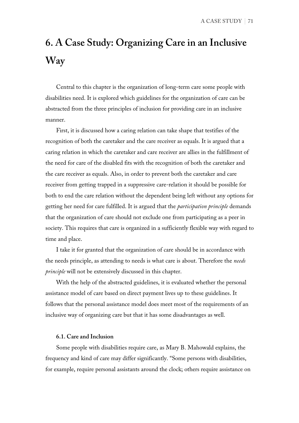# **6. A Case Study: Organizing Care in an Inclusive Way**

Central to this chapter is the organization of long-term care some people with disabilities need. It is explored which guidelines for the organization of care can be abstracted from the three principles of inclusion for providing care in an inclusive manner.

First, it is discussed how a caring relation can take shape that testifies of the recognition of both the caretaker and the care receiver as equals. It is argued that a caring relation in which the caretaker and care receiver are allies in the fulfillment of the need for care of the disabled fits with the recognition of both the caretaker and the care receiver as equals. Also, in order to prevent both the caretaker and care receiver from getting trapped in a suppressive care-relation it should be possible for both to end the care relation without the dependent being left without any options for getting her need for care fulfilled. It is argued that the *participation principle* demands that the organization of care should not exclude one from participating as a peer in society. This requires that care is organized in a sufficiently flexible way with regard to time and place.

I take it for granted that the organization of care should be in accordance with the needs principle, as attending to needs is what care is about. Therefore the *needs principle* will not be extensively discussed in this chapter.

With the help of the abstracted guidelines, it is evaluated whether the personal assistance model of care based on direct payment lives up to these guidelines. It follows that the personal assistance model does meet most of the requirements of an inclusive way of organizing care but that it has some disadvantages as well.

# **6.1. Care and Inclusion**

Some people with disabilities require care, as Mary B. Mahowald explains, the frequency and kind of care may differ significantly. "Some persons with disabilities, for example, require personal assistants around the clock; others require assistance on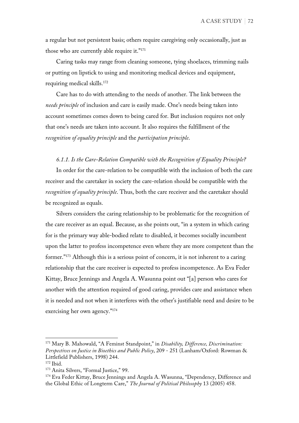a regular but not persistent basis; others require caregiving only occasionally, just as those who are currently able require it."<sup>171</sup>

Caring tasks may range from cleaning someone, tying shoelaces, trimming nails or putting on lipstick to using and monitoring medical devices and equipment, requiring medical skills. 172

Care has to do with attending to the needs of another. The link between the *needs principle* of inclusion and care is easily made. One's needs being taken into account sometimes comes down to being cared for. But inclusion requires not only that one's needs are taken into account. It also requires the fulfillment of the *recognition of equality principle* and the *participation principle*.

# *6.1.1. Is the Care-Relation Compatible with the Recognition of Equality Principle?*

In order for the care-relation to be compatible with the inclusion of both the care receiver and the caretaker in society the care-relation should be compatible with the *recognition of equality principle*. Thus, both the care receiver and the caretaker should be recognized as equals.

Silvers considers the caring relationship to be problematic for the recognition of the care receiver as an equal. Because, as she points out, "in a system in which caring for is the primary way able-bodied relate to disabled, it becomes socially incumbent upon the latter to profess incompetence even where they are more competent than the former."173 Although this is a serious point of concern, it is not inherent to a caring relationship that the care receiver is expected to profess incompetence. As Eva Feder Kittay, Bruce Jennings and Angela A. Wasunna point out "[a] person who cares for another with the attention required of good caring, provides care and assistance when it is needed and not when it interferes with the other's justifiable need and desire to be exercising her own agency."174

<sup>171</sup> Mary B. Mahowald, "A Feminst Standpoint," in *Disability, Difference, Discrimination: Perspectives on Justice in Bioethics and Public Policy*, 209 - 251 (Lanham/Oxford: Rowman & Littlefield Publishers, 1998) 244.

<sup>172</sup> Ibid.

<sup>&</sup>lt;sup>173</sup> Anita Silvers, "Formal Justice," 99.

<sup>174</sup> Eva Feder Kittay, Bruce Jennings and Angela A. Wasunna, "Dependency, Difference and the Global Ethic of Longterm Care," *The Journal of Political Philosophy* 13 (2005) 458.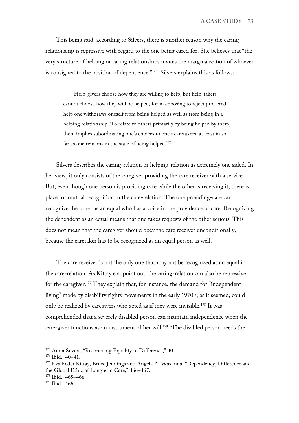This being said, according to Silvers, there is another reason why the caring relationship is repressive with regard to the one being cared for. She believes that **"**the very structure of helping or caring relationships invites the marginalization of whoever is consigned to the position of dependence."175 Silvers explains this as follows:

Help-givers choose how they are willing to help, but help-takers cannot choose how they will be helped, for in choosing to reject proffered help one withdraws oneself from being helped as well as from being in a helping relationship. To relate to others primarily by being helped by them, then, implies subordinating one's choices to one's caretakers, at least in so far as one remains in the state of being helped.<sup>176</sup>

Silvers describes the caring-relation or helping-relation as extremely one sided. In her view, it only consists of the caregiver providing the care receiver with a service. But, even though one person is providing care while the other is receiving it, there is place for mutual recognition in the care-relation. The one providing-care can recognize the other as an equal who has a voice in the providence of care. Recognizing the dependent as an equal means that one takes requests of the other serious. This does not mean that the caregiver should obey the care receiver unconditionally, because the caretaker has to be recognized as an equal person as well.

The care receiver is not the only one that may not be recognized as an equal in the care-relation. As Kittay e.a. point out, the caring-relation can also be repressive for the caregiver.177 They explain that, for instance, the demand for "independent living" made by disability rights movements in the early 1970's, as it seemed, could only be realized by caregivers who acted as if they were invisible.178 It was comprehended that a severely disabled person can maintain independence when the care-giver functions as an instrument of her will.<sup>179</sup> "The disabled person needs the

<sup>&</sup>lt;sup>175</sup> Anita Silvers, "Reconciling Equality to Difference," 40.

<sup>176</sup> Ibid., 40–41.

<sup>&</sup>lt;sup>177</sup> Eva Feder Kittay, Bruce Jennings and Angela A. Wasunna, "Dependency, Difference and the Global Ethic of Longterm Care," 466–467. <sup>178</sup> Ibid., 465–466.

 $179$  Ibid., 466.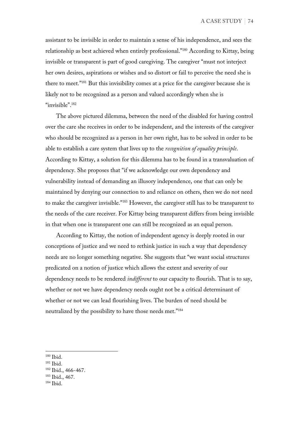assistant to be invisible in order to maintain a sense of his independence, and sees the relationship as best achieved when entirely professional."180 According to Kittay, being invisible or transparent is part of good caregiving. The caregiver "must not interject her own desires, aspirations or wishes and so distort or fail to perceive the need she is there to meet."181 But this invisibility comes at a price for the caregiver because she is likely not to be recognized as a person and valued accordingly when she is "invisible". 182

The above pictured dilemma, between the need of the disabled for having control over the care she receives in order to be independent, and the interests of the caregiver who should be recognized as a person in her own right, has to be solved in order to be able to establish a care system that lives up to the *recognition of equality principle*. According to Kittay, a solution for this dilemma has to be found in a transvaluation of dependency. She proposes that "if we acknowledge our own dependency and vulnerability instead of demanding an illusory independence, one that can only be maintained by denying our connection to and reliance on others, then we do not need to make the caregiver invisible."183 However, the caregiver still has to be transparent to the needs of the care receiver. For Kittay being transparent differs from being invisible in that when one is transparent one can still be recognized as an equal person.

According to Kittay, the notion of independent agency is deeply rooted in our conceptions of justice and we need to rethink justice in such a way that dependency needs are no longer something negative. She suggests that "we want social structures predicated on a notion of justice which allows the extent and severity of our dependency needs to be rendered *indifferent* to our capacity to flourish. That is to say, whether or not we have dependency needs ought not be a critical determinant of whether or not we can lead flourishing lives. The burden of need should be neutralized by the possibility to have those needs met."184

 

 $184$  Ibid.

<sup>180</sup> Ibid.

<sup>&</sup>lt;sup>181</sup> Ibid.

<sup>182</sup> Ibid., 466-467.

<sup>183</sup> Ibid., 467.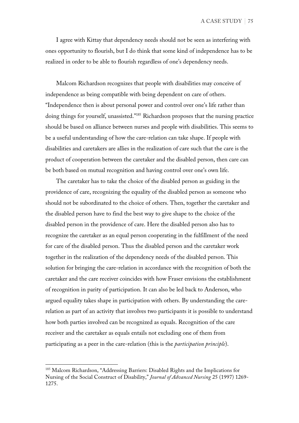I agree with Kittay that dependency needs should not be seen as interfering with ones opportunity to flourish, but I do think that some kind of independence has to be realized in order to be able to flourish regardless of one's dependency needs.

Malcom Richardson recognizes that people with disabilities may conceive of independence as being compatible with being dependent on care of others. "Independence then is about personal power and control over one's life rather than doing things for yourself, unassisted."185 Richardson proposes that the nursing practice should be based on alliance between nurses and people with disabilities. This seems to be a useful understanding of how the care-relation can take shape. If people with disabilities and caretakers are allies in the realization of care such that the care is the product of cooperation between the caretaker and the disabled person, then care can be both based on mutual recognition and having control over one's own life.

The caretaker has to take the choice of the disabled person as guiding in the providence of care, recognizing the equality of the disabled person as someone who should not be subordinated to the choice of others. Then, together the caretaker and the disabled person have to find the best way to give shape to the choice of the disabled person in the providence of care. Here the disabled person also has to recognize the caretaker as an equal person cooperating in the fulfillment of the need for care of the disabled person. Thus the disabled person and the caretaker work together in the realization of the dependency needs of the disabled person. This solution for bringing the care-relation in accordance with the recognition of both the caretaker and the care receiver coincides with how Fraser envisions the establishment of recognition in parity of participation. It can also be led back to Anderson, who argued equality takes shape in participation with others. By understanding the carerelation as part of an activity that involves two participants it is possible to understand how both parties involved can be recognized as equals. Recognition of the care receiver and the caretaker as equals entails not excluding one of them from participating as a peer in the care-relation (this is the *participation principle*).

<sup>&</sup>lt;sup>185</sup> Malcom Richardson, "Addressing Barriers: Disabled Rights and the Implications for Nursing of the Social Construct of Disability," *Journal of Advanced Nursing* 25 (1997) 1269- 1275.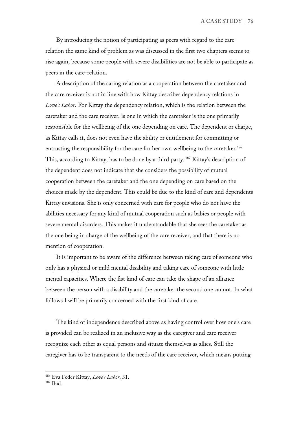By introducing the notion of participating as peers with regard to the carerelation the same kind of problem as was discussed in the first two chapters seems to rise again, because some people with severe disabilities are not be able to participate as peers in the care-relation.

A description of the caring relation as a cooperation between the caretaker and the care receiver is not in line with how Kittay describes dependency relations in *Love's Labor*. For Kittay the dependency relation, which is the relation between the caretaker and the care receiver, is one in which the caretaker is the one primarily responsible for the wellbeing of the one depending on care. The dependent or charge, as Kittay calls it, does not even have the ability or entitlement for committing or entrusting the responsibility for the care for her own wellbeing to the caretaker.<sup>186</sup> This, according to Kittay, has to be done by a third party.<sup>187</sup> Kittay's description of the dependent does not indicate that she considers the possibility of mutual cooperation between the caretaker and the one depending on care based on the choices made by the dependent. This could be due to the kind of care and dependents Kittay envisions. She is only concerned with care for people who do not have the abilities necessary for any kind of mutual cooperation such as babies or people with severe mental disorders. This makes it understandable that she sees the caretaker as the one being in charge of the wellbeing of the care receiver, and that there is no mention of cooperation.

It is important to be aware of the difference between taking care of someone who only has a physical or mild mental disability and taking care of someone with little mental capacities. Where the fist kind of care can take the shape of an alliance between the person with a disability and the caretaker the second one cannot. In what follows I will be primarily concerned with the first kind of care.

The kind of independence described above as having control over how one's care is provided can be realized in an inclusive way as the caregiver and care receiver recognize each other as equal persons and situate themselves as allies. Still the caregiver has to be transparent to the needs of the care receiver, which means putting

<sup>186</sup> Eva Feder Kittay, *Love's Labor*, 31.

 $187$  Ibid.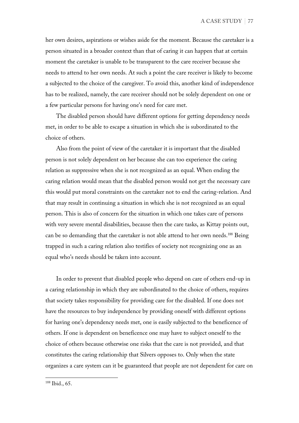her own desires, aspirations or wishes aside for the moment. Because the caretaker is a person situated in a broader context than that of caring it can happen that at certain moment the caretaker is unable to be transparent to the care receiver because she needs to attend to her own needs. At such a point the care receiver is likely to become a subjected to the choice of the caregiver. To avoid this, another kind of independence has to be realized, namely, the care receiver should not be solely dependent on one or a few particular persons for having one's need for care met.

The disabled person should have different options for getting dependency needs met, in order to be able to escape a situation in which she is subordinated to the choice of others.

Also from the point of view of the caretaker it is important that the disabled person is not solely dependent on her because she can too experience the caring relation as suppressive when she is not recognized as an equal. When ending the caring relation would mean that the disabled person would not get the necessary care this would put moral constraints on the caretaker not to end the caring-relation. And that may result in continuing a situation in which she is not recognized as an equal person. This is also of concern for the situation in which one takes care of persons with very severe mental disabilities, because then the care tasks, as Kittay points out, can be so demanding that the caretaker is not able attend to her own needs.<sup>188</sup> Being trapped in such a caring relation also testifies of society not recognizing one as an equal who's needs should be taken into account.

In order to prevent that disabled people who depend on care of others end-up in a caring relationship in which they are subordinated to the choice of others, requires that society takes responsibility for providing care for the disabled. If one does not have the resources to buy independence by providing oneself with different options for having one's dependency needs met, one is easily subjected to the beneficence of others. If one is dependent on beneficence one may have to subject oneself to the choice of others because otherwise one risks that the care is not provided, and that constitutes the caring relationship that Silvers opposes to. Only when the state organizes a care system can it be guaranteed that people are not dependent for care on

<sup>188</sup> Ibid., 65.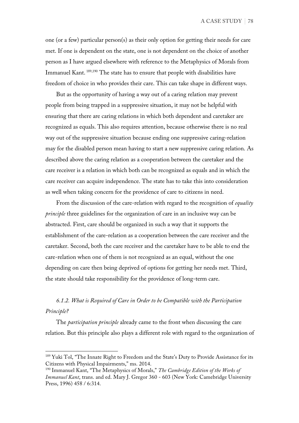one (or a few) particular person(s) as their only option for getting their needs for care met. If one is dependent on the state, one is not dependent on the choice of another person as I have argued elsewhere with reference to the Metaphysics of Morals from Immanuel Kant. 189,190 The state has to ensure that people with disabilities have freedom of choice in who provides their care. This can take shape in different ways.

But as the opportunity of having a way out of a caring relation may prevent people from being trapped in a suppressive situation, it may not be helpful with ensuring that there are caring relations in which both dependent and caretaker are recognized as equals. This also requires attention, because otherwise there is no real way out of the suppressive situation because ending one suppressive caring-relation may for the disabled person mean having to start a new suppressive caring relation. As described above the caring relation as a cooperation between the caretaker and the care receiver is a relation in which both can be recognized as equals and in which the care receiver can acquire independence. The state has to take this into consideration as well when taking concern for the providence of care to citizens in need.

From the discussion of the care-relation with regard to the recognition of *equality principle* three guidelines for the organization of care in an inclusive way can be abstracted. First, care should be organized in such a way that it supports the establishment of the care-relation as a cooperation between the care receiver and the caretaker. Second, both the care receiver and the caretaker have to be able to end the care-relation when one of them is not recognized as an equal, without the one depending on care then being deprived of options for getting her needs met. Third, the state should take responsibility for the providence of long-term care.

*6.1.2. What is Required of Care in Order to be Compatible with the Participation Principle?*

The *participation principle* already came to the front when discussing the care relation. But this principle also plays a different role with regard to the organization of

<sup>&</sup>lt;sup>189</sup> Yuki Tol, "The Innate Right to Freedom and the State's Duty to Provide Assistance for its Citizens with Physical Impairments," ms. 2014.

<sup>190</sup> Immanuel Kant, "The Metaphysics of Morals," *The Cambridge Edition of the Works of Immanuel Kant*, trans. and ed. Mary J. Gregor 360 - 603 (New York: Camebridge University Press, 1996) 458 / 6:314.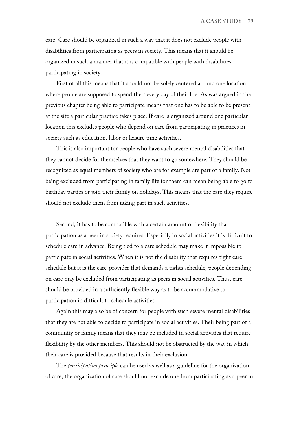care. Care should be organized in such a way that it does not exclude people with disabilities from participating as peers in society. This means that it should be organized in such a manner that it is compatible with people with disabilities participating in society.

First of all this means that it should not be solely centered around one location where people are supposed to spend their every day of their life. As was argued in the previous chapter being able to participate means that one has to be able to be present at the site a particular practice takes place. If care is organized around one particular location this excludes people who depend on care from participating in practices in society such as education, labor or leisure time activities.

This is also important for people who have such severe mental disabilities that they cannot decide for themselves that they want to go somewhere. They should be recognized as equal members of society who are for example are part of a family. Not being excluded from participating in family life for them can mean being able to go to birthday parties or join their family on holidays. This means that the care they require should not exclude them from taking part in such activities.

Second, it has to be compatible with a certain amount of flexibility that participation as a peer in society requires. Especially in social activities it is difficult to schedule care in advance. Being tied to a care schedule may make it impossible to participate in social activities. When it is not the disability that requires tight care schedule but it is the care-provider that demands a tights schedule, people depending on care may be excluded from participating as peers in social activities. Thus, care should be provided in a sufficiently flexible way as to be accommodative to participation in difficult to schedule activities.

Again this may also be of concern for people with such severe mental disabilities that they are not able to decide to participate in social activities. Their being part of a community or family means that they may be included in social activities that require flexibility by the other members. This should not be obstructed by the way in which their care is provided because that results in their exclusion.

The *participation principle* can be used as well as a guideline for the organization of care, the organization of care should not exclude one from participating as a peer in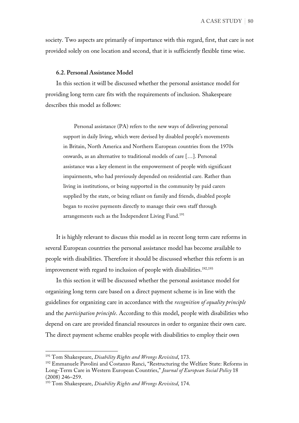society. Two aspects are primarily of importance with this regard, first, that care is not provided solely on one location and second, that it is sufficiently flexible time wise.

#### **6.2. Personal Assistance Model**

In this section it will be discussed whether the personal assistance model for providing long term care fits with the requirements of inclusion. Shakespeare describes this model as follows:

Personal assistance (PA) refers to the new ways of delivering personal support in daily living, which were devised by disabled people's movements in Britain, North America and Northern European countries from the 1970s onwards, as an alternative to traditional models of care […]. Personal assistance was a key element in the empowerment of people with significant impairments, who had previously depended on residential care. Rather than living in institutions, or being supported in the community by paid carers supplied by the state, or being reliant on family and friends, disabled people began to receive payments directly to manage their own staff through arrangements such as the Independent Living Fund.<sup>191</sup>

It is highly relevant to discuss this model as in recent long term care reforms in several European countries the personal assistance model has become available to people with disabilities. Therefore it should be discussed whether this reform is an improvement with regard to inclusion of people with disabilities. $^{192,193}$ 

In this section it will be discussed whether the personal assistance model for organizing long term care based on a direct payment scheme is in line with the guidelines for organizing care in accordance with the *recognition of equality principle*  and the *participation principle*. According to this model, people with disabilities who depend on care are provided financial resources in order to organize their own care. The direct payment scheme enables people with disabilities to employ their own

<sup>191</sup> Tom Shakespeare, *Disability Rights and Wrongs Revisited*, 173.

<sup>&</sup>lt;sup>192</sup> Emmanuele Pavolini and Costanzo Ranci, "Restructuring the Welfare State: Reforms in Long-Term Care in Western European Countries," *Journal of European Social Policy* 18 (2008) 246–259.

<sup>193</sup> Tom Shakespeare, *Disability Rights and Wrongs Revisited*, 174.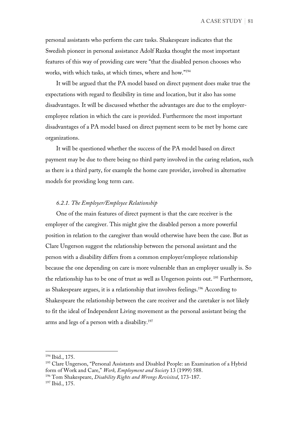personal assistants who perform the care tasks. Shakespeare indicates that the Swedish pioneer in personal assistance Adolf Razka thought the most important features of this way of providing care were "that the disabled person chooses who works, with which tasks, at which times, where and how."194

It will be argued that the PA model based on direct payment does make true the expectations with regard to flexibility in time and location, but it also has some disadvantages. It will be discussed whether the advantages are due to the employeremployee relation in which the care is provided. Furthermore the most important disadvantages of a PA model based on direct payment seem to be met by home care organizations.

It will be questioned whether the success of the PA model based on direct payment may be due to there being no third party involved in the caring relation, such as there is a third party, for example the home care provider, involved in alternative models for providing long term care.

## *6.2.1. The Employer/Employee Relationship*

One of the main features of direct payment is that the care receiver is the employer of the caregiver. This might give the disabled person a more powerful position in relation to the caregiver than would otherwise have been the case. But as Clare Ungerson suggest the relationship between the personal assistant and the person with a disability differs from a common employer/employee relationship because the one depending on care is more vulnerable than an employer usually is. So the relationship has to be one of trust as well as Ungerson points out. <sup>195</sup> Furthermore, as Shakespeare argues, it is a relationship that involves feelings.196 According to Shakespeare the relationship between the care receiver and the caretaker is not likely to fit the ideal of Independent Living movement as the personal assistant being the arms and legs of a person with a disability.197

<sup>194</sup> Ibid., 175.

<sup>&</sup>lt;sup>195</sup> Clare Ungerson, "Personal Assistants and Disabled People: an Examination of a Hybrid form of Work and Care," *Work, Employment and Society* 13 (1999) 588. <sup>196</sup> Tom Shakespeare, *Disability Rights and Wrongs Revisited*, 173-187. <sup>197</sup> Ibid., 175.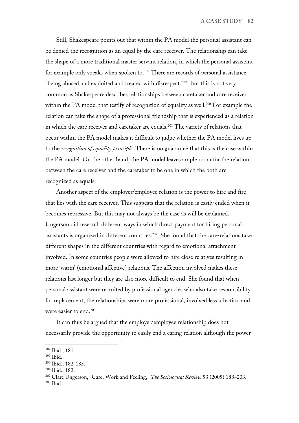Still, Shakespeare points out that within the PA model the personal assistant can be denied the recognition as an equal by the care receiver. The relationship can take the shape of a more traditional master servant relation, in which the personal assistant for example only speaks when spoken to. <sup>198</sup> There are records of personal assistance "being abused and exploited and treated with disrespect."<sup>199</sup> But this is not very common as Shakespeare describes relationships between caretaker and care receiver within the PA model that testify of recognition of equality as well. <sup>200</sup> For example the relation can take the shape of a professional friendship that is experienced as a relation in which the care receiver and caretaker are equals.201 The variety of relations that occur within the PA model makes it difficult to judge whether the PA model lives up to the *recognition of equality principle*. There is no guarantee that this is the case within the PA model. On the other hand, the PA model leaves ample room for the relation between the care receiver and the caretaker to be one in which the both are recognized as equals.

Another aspect of the employer/employee relation is the power to hire and fire that lies with the care receiver. This suggests that the relation is easily ended when it becomes repressive. But this may not always be the case as will be explained. Ungerson did research different ways in which direct payment for hiring personal assistants is organized in different countries.202 She found that the care-relations take different shapes in the different countries with regard to emotional attachment involved. In some countries people were allowed to hire close relatives resulting in more 'warm' (emotional affective) relations. The affection involved makes these relations last longer but they are also more difficult to end. She found that when personal assistant were recruited by professional agencies who also take responsibility for replacement, the relationships were more professional, involved less affection and were easier to end.<sup>203</sup>

It can thus be argued that the employer/employee relationship does not necessarily provide the opportunity to easily end a caring relation although the power

<sup>182</sup> Ibid., 181.

<sup>199</sup> Ibid.

<sup>200</sup> Ibid., 182-185.

<sup>201</sup> Ibid., 182.

<sup>202</sup> Clare Ungerson, "Care, Work and Feeling," *The Sociological Review* 53 (2005) 188–203.  $203$  Ibid.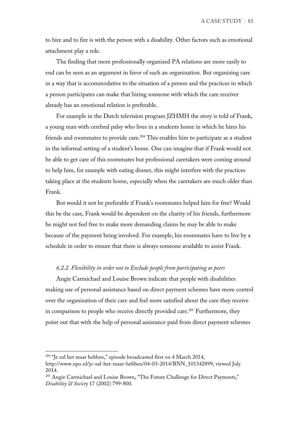to hire and to fire is with the person with a disability. Other factors such as emotional attachment play a role.

The finding that more professionally organized PA relations are more easily to end can be seen as an argument in favor of such an organization. But organizing care in a way that is accommodative to the situation of a person and the practices in which a person participates can make that hiring someone with which the care receiver already has an emotional relation is preferable.

For example in the Dutch television program JZHMH the story is told of Frank, a young man with cerebral palsy who lives in a students home in which he hires his friends and roommates to provide care.<sup>204</sup> This enables him to participate as a student in the informal setting of a student's home. One can imagine that if Frank would not be able to get care of this roommates but professional caretakers were coming around to help him, for example with eating dinner, this might interfere with the practices taking place at the students home, especially when the caretakers are much older than Frank.

But would it not be preferable if Frank's roommates helped him for free? Would this be the case, Frank would be dependent on the charity of his friends, furthermore he might not feel free to make more demanding claims he may be able to make because of the payment being involved. For example, his roommates have to live by a schedule in order to ensure that there is always someone available to assist Frank.

### *6.2.2. Flexibility in order not to Exclude people from participating as peers*

Angie Carmichael and Louise Brown indicate that people with disabilities making use of personal assistance based on direct payment schemes have more control over the organization of their care and feel more satisfied about the care they receive in comparison to people who receive directly provided care.<sup>205</sup> Furthermore, they point out that with the help of personal assistance paid from direct payment schemes

<sup>&</sup>lt;sup>204</sup> "Je zal het maar hebben," episode broadcasted first on 4 March 2014,

http://www.npo.nl/je-zal-het-maar-hebben/04-03-2014/BNN\_101342899, viewed July 2014.

<sup>&</sup>lt;sup>205</sup> Angie Carmichael and Louise Brown, "The Future Challenge for Direct Payments," *Disability & Society* 17 (2002) 799-800.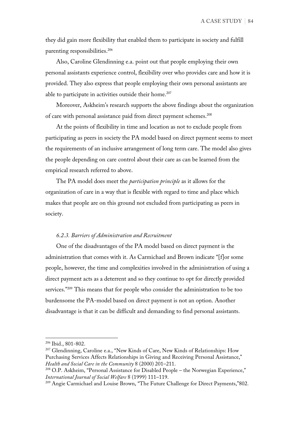they did gain more flexibility that enabled them to participate in society and fulfill parenting responsibilities.206

Also, Caroline Glendinning e.a. point out that people employing their own personal assistants experience control, flexibility over who provides care and how it is provided. They also express that people employing their own personal assistants are able to participate in activities outside their home.<sup>207</sup>

Moreover, Askheim's research supports the above findings about the organization of care with personal assistance paid from direct payment schemes.<sup>208</sup>

At the points of flexibility in time and location as not to exclude people from participating as peers in society the PA model based on direct payment seems to meet the requirements of an inclusive arrangement of long term care. The model also gives the people depending on care control about their care as can be learned from the empirical research referred to above.

The PA model does meet the *participation principle* as it allows for the organization of care in a way that is flexible with regard to time and place which makes that people are on this ground not excluded from participating as peers in society.

#### *6.2.3. Barriers of Administration and Recruitment*

One of the disadvantages of the PA model based on direct payment is the administration that comes with it. As Carmichael and Brown indicate "[f]or some people, however, the time and complexities involved in the administration of using a direct payment acts as a deterrent and so they continue to opt for directly provided services."209 This means that for people who consider the administration to be too burdensome the PA-model based on direct payment is not an option. Another disadvantage is that it can be difficult and demanding to find personal assistants.

<sup>206</sup> Ibid., 801-802.

<sup>&</sup>lt;sup>207</sup> Glendinning, Caroline e.a., "New Kinds of Care, New Kinds of Relationships: How Purchasing Services Affects Relationships in Giving and Receiving Personal Assistance," *Health and Social Care in the Community* 8 (2000) 201–211.

<sup>&</sup>lt;sup>208</sup> O.P. Askheim, "Personal Assistance for Disabled People – the Norwegian Experience," *International Journal of Social Welfare* 8 (1999) 111–119.

<sup>&</sup>lt;sup>209</sup> Angie Carmichael and Louise Brown, "The Future Challenge for Direct Payments,"802.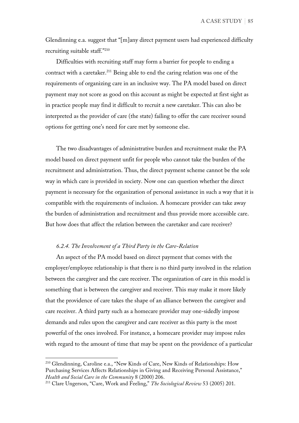Glendinning e.a. suggest that "[m]any direct payment users had experienced difficulty recruiting suitable staff."210

Difficulties with recruiting staff may form a barrier for people to ending a contract with a caretaker.<sup>211</sup> Being able to end the caring relation was one of the requirements of organizing care in an inclusive way. The PA model based on direct payment may not score as good on this account as might be expected at first sight as in practice people may find it difficult to recruit a new caretaker. This can also be interpreted as the provider of care (the state) failing to offer the care receiver sound options for getting one's need for care met by someone else.

The two disadvantages of administrative burden and recruitment make the PA model based on direct payment unfit for people who cannot take the burden of the recruitment and administration. Thus, the direct payment scheme cannot be the sole way in which care is provided in society. Now one can question whether the direct payment is necessary for the organization of personal assistance in such a way that it is compatible with the requirements of inclusion. A homecare provider can take away the burden of administration and recruitment and thus provide more accessible care. But how does that affect the relation between the caretaker and care receiver?

## *6.2.4. The Involvement of a Third Party in the Care-Relation*

An aspect of the PA model based on direct payment that comes with the employer/employee relationship is that there is no third party involved in the relation between the caregiver and the care receiver. The organization of care in this model is something that is between the caregiver and receiver. This may make it more likely that the providence of care takes the shape of an alliance between the caregiver and care receiver. A third party such as a homecare provider may one-sidedly impose demands and rules upon the caregiver and care receiver as this party is the most powerful of the ones involved. For instance, a homecare provider may impose rules with regard to the amount of time that may be spent on the providence of a particular

<sup>210</sup> Glendinning, Caroline e.a., "New Kinds of Care, New Kinds of Relationships: How Purchasing Services Affects Relationships in Giving and Receiving Personal Assistance," *Health and Social Care in the Community* 8 (2000) 206.

<sup>211</sup> Clare Ungerson, "Care, Work and Feeling," *The Sociological Review* 53 (2005) 201.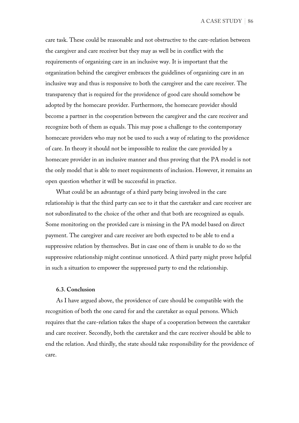care task. These could be reasonable and not obstructive to the care-relation between the caregiver and care receiver but they may as well be in conflict with the requirements of organizing care in an inclusive way. It is important that the organization behind the caregiver embraces the guidelines of organizing care in an inclusive way and thus is responsive to both the caregiver and the care receiver. The transparency that is required for the providence of good care should somehow be adopted by the homecare provider. Furthermore, the homecare provider should become a partner in the cooperation between the caregiver and the care receiver and recognize both of them as equals. This may pose a challenge to the contemporary homecare providers who may not be used to such a way of relating to the providence of care. In theory it should not be impossible to realize the care provided by a homecare provider in an inclusive manner and thus proving that the PA model is not the only model that is able to meet requirements of inclusion. However, it remains an open question whether it will be successful in practice.

What could be an advantage of a third party being involved in the care relationship is that the third party can see to it that the caretaker and care receiver are not subordinated to the choice of the other and that both are recognized as equals. Some monitoring on the provided care is missing in the PA model based on direct payment. The caregiver and care receiver are both expected to be able to end a suppressive relation by themselves. But in case one of them is unable to do so the suppressive relationship might continue unnoticed. A third party might prove helpful in such a situation to empower the suppressed party to end the relationship.

#### **6.3. Conclusion**

As I have argued above, the providence of care should be compatible with the recognition of both the one cared for and the caretaker as equal persons. Which requires that the care-relation takes the shape of a cooperation between the caretaker and care receiver. Secondly, both the caretaker and the care receiver should be able to end the relation. And thirdly, the state should take responsibility for the providence of care.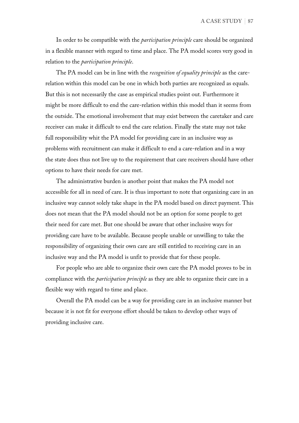In order to be compatible with the *participation principle* care should be organized in a flexible manner with regard to time and place. The PA model scores very good in relation to the *participation principle*.

The PA model can be in line with the *recognition of equality principle* as the carerelation within this model can be one in which both parties are recognized as equals. But this is not necessarily the case as empirical studies point out. Furthermore it might be more difficult to end the care-relation within this model than it seems from the outside. The emotional involvement that may exist between the caretaker and care receiver can make it difficult to end the care relation. Finally the state may not take full responsibility whit the PA model for providing care in an inclusive way as problems with recruitment can make it difficult to end a care-relation and in a way the state does thus not live up to the requirement that care receivers should have other options to have their needs for care met.

The administrative burden is another point that makes the PA model not accessible for all in need of care. It is thus important to note that organizing care in an inclusive way cannot solely take shape in the PA model based on direct payment. This does not mean that the PA model should not be an option for some people to get their need for care met. But one should be aware that other inclusive ways for providing care have to be available. Because people unable or unwilling to take the responsibility of organizing their own care are still entitled to receiving care in an inclusive way and the PA model is unfit to provide that for these people.

For people who are able to organize their own care the PA model proves to be in compliance with the *participation principle* as they are able to organize their care in a flexible way with regard to time and place.

Overall the PA model can be a way for providing care in an inclusive manner but because it is not fit for everyone effort should be taken to develop other ways of providing inclusive care.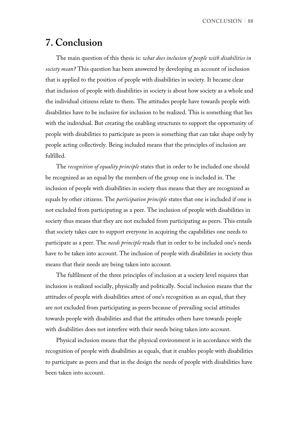## **7. Conclusion**

The main question of this thesis is: *what does inclusion of people with disabilities in society mean?* This question has been answered by developing an account of inclusion that is applied to the position of people with disabilities in society. It became clear that inclusion of people with disabilities in society is about how society as a whole and the individual citizens relate to them. The attitudes people have towards people with disabilities have to be inclusive for inclusion to be realized. This is something that lies with the individual. But creating the enabling structures to support the opportunity of people with disabilities to participate as peers is something that can take shape only by people acting collectively. Being included means that the principles of inclusion are fulfilled.

The *recognition of equality principle* states that in order to be included one should be recognized as an equal by the members of the group one is included in. The inclusion of people with disabilities in society thus means that they are recognized as equals by other citizens. The *participation principle* states that one is included if one is not excluded from participating as a peer. The inclusion of people with disabilities in society thus means that they are not excluded from participating as peers. This entails that society takes care to support everyone in acquiring the capabilities one needs to participate as a peer. The *needs principle* reads that in order to be included one's needs have to be taken into account. The inclusion of people with disabilities in society thus means that their needs are being taken into account.

The fulfilment of the three principles of inclusion at a society level requires that inclusion is realized socially, physically and politically. Social inclusion means that the attitudes of people with disabilities attest of one's recognition as an equal, that they are not excluded from participating as peers because of prevailing social attitudes towards people with disabilities and that the attitudes others have towards people with disabilities does not interfere with their needs being taken into account.

Physical inclusion means that the physical environment is in accordance with the recognition of people with disabilities as equals, that it enables people with disabilities to participate as peers and that in the design the needs of people with disabilities have been taken into account.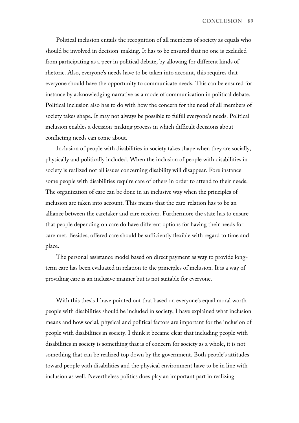Political inclusion entails the recognition of all members of society as equals who should be involved in decision-making. It has to be ensured that no one is excluded from participating as a peer in political debate, by allowing for different kinds of rhetoric. Also, everyone's needs have to be taken into account, this requires that everyone should have the opportunity to communicate needs. This can be ensured for instance by acknowledging narrative as a mode of communication in political debate. Political inclusion also has to do with how the concern for the need of all members of society takes shape. It may not always be possible to fulfill everyone's needs. Political inclusion enables a decision-making process in which difficult decisions about conflicting needs can come about.

Inclusion of people with disabilities in society takes shape when they are socially, physically and politically included. When the inclusion of people with disabilities in society is realized not all issues concerning disability will disappear. Fore instance some people with disabilities require care of others in order to attend to their needs. The organization of care can be done in an inclusive way when the principles of inclusion are taken into account. This means that the care-relation has to be an alliance between the caretaker and care receiver. Furthermore the state has to ensure that people depending on care do have different options for having their needs for care met. Besides, offered care should be sufficiently flexible with regard to time and place.

The personal assistance model based on direct payment as way to provide longterm care has been evaluated in relation to the principles of inclusion. It is a way of providing care is an inclusive manner but is not suitable for everyone.

With this thesis I have pointed out that based on everyone's equal moral worth people with disabilities should be included in society, I have explained what inclusion means and how social, physical and political factors are important for the inclusion of people with disabilities in society. I think it became clear that including people with disabilities in society is something that is of concern for society as a whole, it is not something that can be realized top down by the government. Both people's attitudes toward people with disabilities and the physical environment have to be in line with inclusion as well. Nevertheless politics does play an important part in realizing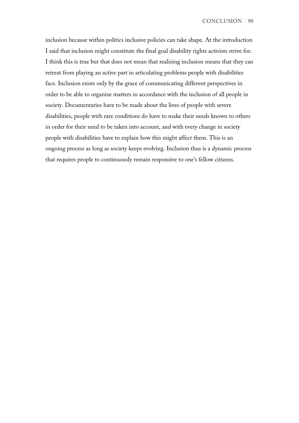inclusion because within politics inclusive policies can take shape. At the introduction I said that inclusion might constitute the final goal disability rights activists strive for. I think this is true but that does not mean that realizing inclusion means that they can retreat from playing an active part in articulating problems people with disabilities face. Inclusion exists only by the grace of communicating different perspectives in order to be able to organize matters in accordance with the inclusion of all people in society. Documentaries have to be made about the lives of people with severe disabilities, people with rare conditions do have to make their needs known to others in order for their need to be taken into account, and with every change in society people with disabilities have to explain how this might affect them. This is an ongoing process as long as society keeps evolving. Inclusion thus is a dynamic process that requires people to continuously remain responsive to one's fellow citizens.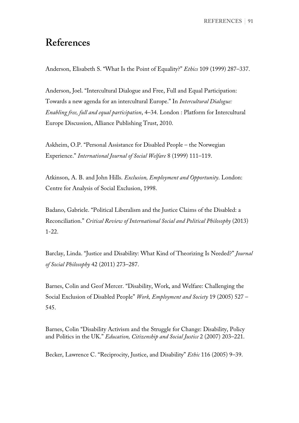# **References**

Anderson, Elisabeth S. "What Is the Point of Equality?" *Ethics* 109 (1999) 287–337.

Anderson, Joel. "Intercultural Dialogue and Free, Full and Equal Participation: Towards a new agenda for an intercultural Europe." In *Intercultural Dialogue: Enabling free, full and equal participation*, 4–34. London : Platform for Intercultural Europe Discussion, Alliance Publishing Trust, 2010.

Askheim, O.P. "Personal Assistance for Disabled People – the Norwegian Experience." *International Journal of Social Welfare* 8 (1999) 111–119.

Atkinson, A. B. and John Hills. *Exclusion, Employment and Opportunity*. London: Centre for Analysis of Social Exclusion, 1998.

Badano, Gabriele. "Political Liberalism and the Justice Claims of the Disabled: a Reconciliation." *Critical Review of International Social and Political Philosophy* (2013) 1-22.

Barclay, Linda. "Justice and Disability: What Kind of Theorizing Is Needed?" *Journal of Social Philosophy* 42 (2011) 273–287.

Barnes, Colin and Geof Mercer. "Disability, Work, and Welfare: Challenging the Social Exclusion of Disabled People" *Work, Employment and Society* 19 (2005) 527 – 545.

Barnes, Colin "Disability Activism and the Struggle for Change: Disability, Policy and Politics in the UK." *Education, Citizenship and Social Justice* 2 (2007) 203–221.

Becker, Lawrence C. "Reciprocity, Justice, and Disability" *Ethic* 116 (2005) 9–39.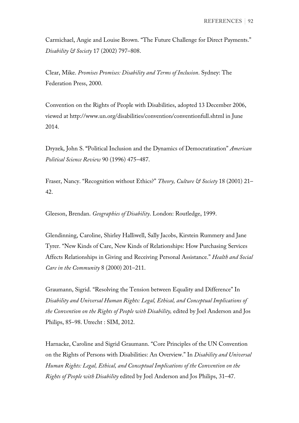Carmichael, Angie and Louise Brown. "The Future Challenge for Direct Payments." *Disability & Society* 17 (2002) 797–808.

Clear, Mike. *Promises Promises: Disability and Terms of Inclusion*. Sydney: The Federation Press, 2000.

Convention on the Rights of People with Disabilities, adopted 13 December 2006, viewed at http://www.un.org/disabilities/convention/conventionfull.shtml in June 2014.

Dryzek, John S. **"**Political Inclusion and the Dynamics of Democratization" *American Political Science Review* 90 (1996) 475–487.

Fraser, Nancy. "Recognition without Ethics?" *Theory, Culture & Society* 18 (2001) 21– 42.

Gleeson, Brendan. *Geographies of Disability*. London: Routledge, 1999.

Glendinning, Caroline, Shirley Halliwell, Sally Jacobs, Kirstein Rummery and Jane Tyrer. "New Kinds of Care, New Kinds of Relationships: How Purchasing Services Affects Relationships in Giving and Receiving Personal Assistance." *Health and Social Care in the Community* 8 (2000) 201–211.

Graumann, Sigrid. "Resolving the Tension between Equality and Difference" In *Disability and Universal Human Rights: Legal, Ethical, and Conceptual Implications of the Convention on the Rights of People with Disability,* edited by Joel Anderson and Jos Philips, 85–98. Utrecht : SIM, 2012.

Harnacke, Caroline and Sigrid Graumann. "Core Principles of the UN Convention on the Rights of Persons with Disabilities: An Overview." In *Disability and Universal Human Rights: Legal, Ethical, and Conceptual Implications of the Convention on the Rights of People with Disability* edited by Joel Anderson and Jos Philips, 31–47.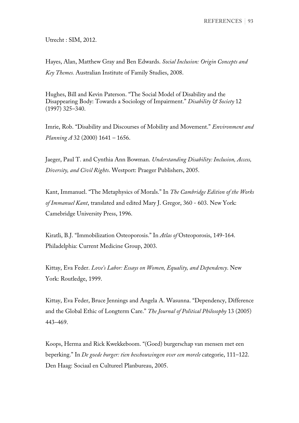Utrecht : SIM, 2012.

Hayes, Alan, Matthew Gray and Ben Edwards. *Social Inclusion: Origin Concepts and Key Themes.* Australian Institute of Family Studies, 2008.

Hughes, Bill and Kevin Paterson. "The Social Model of Disability and the Disappearing Body: Towards a Sociology of Impairment." *Disability & Society* 12 (1997) 325–340.

Imrie, Rob. "Disability and Discourses of Mobility and Movement." *Environment and Planning A* 32 (2000) 1641 – 1656.

Jaeger, Paul T. and Cynthia Ann Bowman. *Understanding Disability: Inclusion, Access, Diversity, and Civil Rights*. Westport: Praeger Publishers, 2005.

Kant, Immanuel. "The Metaphysics of Morals." In *The Cambridge Edition of the Works of Immanuel Kant*, translated and edited Mary J. Gregor, 360 - 603. New York: Camebridge University Press, 1996.

Kiratli, B.J. "Immobilization Osteoporosis." In *Atlas of* Osteoporosis, 149-164. Philadelphia: Current Medicine Group, 2003.

Kittay, Eva Feder. *Love's Labor: Essays on Women, Equality, and Dependency*. New York: Routledge, 1999.

Kittay, Eva Feder, Bruce Jennings and Angela A. Wasunna. "Dependency, Difference and the Global Ethic of Longterm Care." *The Journal of Political Philosophy* 13 (2005) 443–469.

Koops, Herma and Rick Kwekkeboom. "(Goed) burgerschap van mensen met een beperking." In *De goede burger: tien beschouwingen over een morele* categorie, 111–122. Den Haag: Sociaal en Cultureel Planbureau, 2005.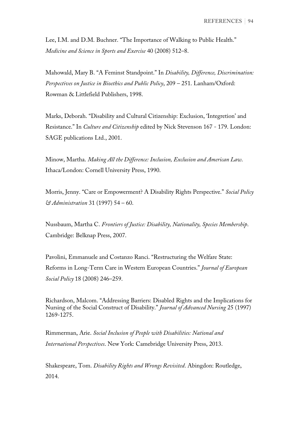Lee, I.M. and D.M. Buchner. "The Importance of Walking to Public Health." *Medicine and Science in Sports and Exercise* 40 (2008) 512–8.

Mahowald, Mary B. "A Feminst Standpoint." In *Disability, Difference, Discrimination: Perspectives on Justice in Bioethics and Public Policy*, 209 – 251. Lanham/Oxford: Rowman & Littlefield Publishers, 1998.

Marks, Deborah. "Disability and Cultural Citizenship: Exclusion, 'Integretion' and Resistance." In *Culture and Citizenship* edited by Nick Stevenson 167 - 179. London: SAGE publications Ltd., 2001.

Minow, Martha. *Making All the Difference: Inclusion, Exclusion and American Law*. Ithaca/London: Cornell University Press, 1990.

Morris, Jenny. "Care or Empowerment? A Disability Rights Perspective." *Social Policy & Administration* 31 (1997) 54 – 60.

Nussbaum, Martha C. *Frontiers of Justice: Disability, Nationality, Species Membership*. Cambridge: Belknap Press, 2007.

Pavolini, Emmanuele and Costanzo Ranci. "Restructuring the Welfare State: Reforms in Long-Term Care in Western European Countries." *Journal of European Social Policy* 18 (2008) 246–259.

Richardson, Malcom. "Addressing Barriers: Disabled Rights and the Implications for Nursing of the Social Construct of Disability." *Journal of Advanced Nursing* 25 (1997) 1269-1275.

Rimmerman, Arie. *Social Inclusion of People with Disabilities: National and International Perspectives*. New York: Camebridge University Press, 2013.

Shakespeare, Tom. *Disability Rights and Wrongs Revisited*. Abingdon: Routledge, 2014.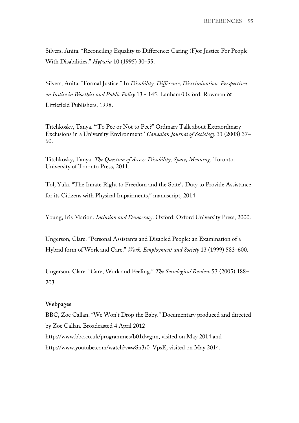Silvers, Anita. "Reconciling Equality to Difference: Caring (F)or Justice For People With Disabilities." *Hypatia* 10 (1995) 30–55.

Silvers, Anita. "Formal Justice." In *Disability, Difference, Discrimination: Perspectives on Justice in Bioethics and Public Policy* 13 - 145. Lanham/Oxford: Rowman & Littlefield Publishers, 1998.

Titchkosky, Tanya. '"To Pee or Not to Pee?" Ordinary Talk about Extraordinary Exclusions in a University Environment.' *Canadian Journal of Sociology* 33 (2008) 37– 60.

Titchkosky, Tanya. *The Question of Access: Disability, Space, Meaning*. Toronto: University of Toronto Press, 2011.

Tol, Yuki. "The Innate Right to Freedom and the State's Duty to Provide Assistance for its Citizens with Physical Impairments," manuscript, 2014.

Young, Iris Marion. *Inclusion and Democracy*. Oxford: Oxford University Press, 2000.

Ungerson, Clare. "Personal Assistants and Disabled People: an Examination of a Hybrid form of Work and Care." *Work, Employment and Society* 13 (1999) 583–600.

Ungerson, Clare. "Care, Work and Feeling." *The Sociological Review* 53 (2005) 188– 203.

## **Webpages**

BBC, Zoe Callan. "We Won't Drop the Baby." Documentary produced and directed by Zoe Callan. Broadcasted 4 April 2012 http://www.bbc.co.uk/programmes/b01dwgnn, visited on May 2014 and http://www.youtube.com/watch?v=wSn3r0\_VpsE, visited on May 2014.